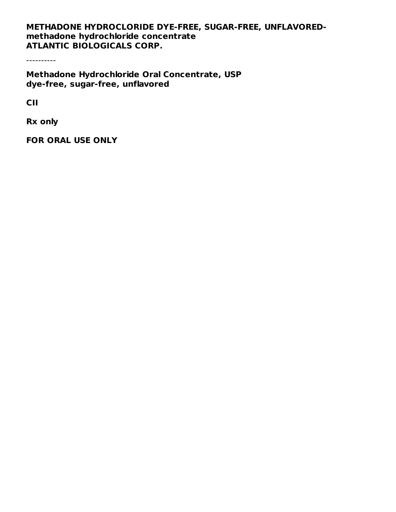#### **METHADONE HYDROCLORIDE DYE-FREE, SUGAR-FREE, UNFLAVOREDmethadone hydrochloride concentrate ATLANTIC BIOLOGICALS CORP.**

----------

**Methadone Hydrochloride Oral Concentrate, USP dye-free, sugar-free, unflavored**

**CII**

**Rx only**

**FOR ORAL USE ONLY**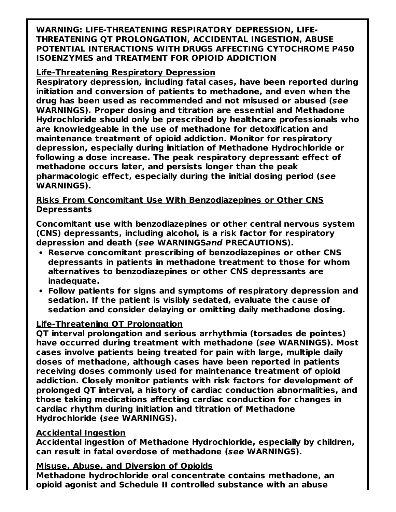**WARNING: LIFE-THREATENING RESPIRATORY DEPRESSION, LIFE-THREATENING QT PROLONGATION, ACCIDENTAL INGESTION, ABUSE POTENTIAL INTERACTIONS WITH DRUGS AFFECTING CYTOCHROME P450 ISOENZYMES and TREATMENT FOR OPIOID ADDICTION**

#### **Life-Threatening Respiratory Depression**

**Respiratory depression, including fatal cases, have been reported during initiation and conversion of patients to methadone, and even when the drug has been used as recommended and not misused or abused (see WARNINGS). Proper dosing and titration are essential and Methadone Hydrochloride should only be prescribed by healthcare professionals who are knowledgeable in the use of methadone for detoxification and maintenance treatment of opioid addiction. Monitor for respiratory depression, especially during initiation of Methadone Hydrochloride or following a dose increase. The peak respiratory depressant effect of methadone occurs later, and persists longer than the peak pharmacologic effect, especially during the initial dosing period (see WARNINGS).**

#### **Risks From Concomitant Use With Benzodiazepines or Other CNS Depressants**

**Concomitant use with benzodiazepines or other central nervous system (CNS) depressants, including alcohol, is a risk factor for respiratory depression and death (see WARNINGSand PRECAUTIONS).**

- **Reserve concomitant prescribing of benzodiazepines or other CNS depressants in patients in methadone treatment to those for whom alternatives to benzodiazepines or other CNS depressants are inadequate.**
- **Follow patients for signs and symptoms of respiratory depression and sedation. If the patient is visibly sedated, evaluate the cause of sedation and consider delaying or omitting daily methadone dosing.**

#### **Life-Threatening QT Prolongation**

**QT interval prolongation and serious arrhythmia (torsades de pointes) have occurred during treatment with methadone (see WARNINGS). Most cases involve patients being treated for pain with large, multiple daily doses of methadone, although cases have been reported in patients receiving doses commonly used for maintenance treatment of opioid addiction. Closely monitor patients with risk factors for development of prolonged QT interval, a history of cardiac conduction abnormalities, and those taking medications affecting cardiac conduction for changes in cardiac rhythm during initiation and titration of Methadone Hydrochloride (see WARNINGS).**

#### **Accidental Ingestion**

**Accidental ingestion of Methadone Hydrochloride, especially by children, can result in fatal overdose of methadone (see WARNINGS).**

#### **Misuse, Abuse, and Diversion of Opioids**

**Methadone hydrochloride oral concentrate contains methadone, an opioid agonist and Schedule II controlled substance with an abuse**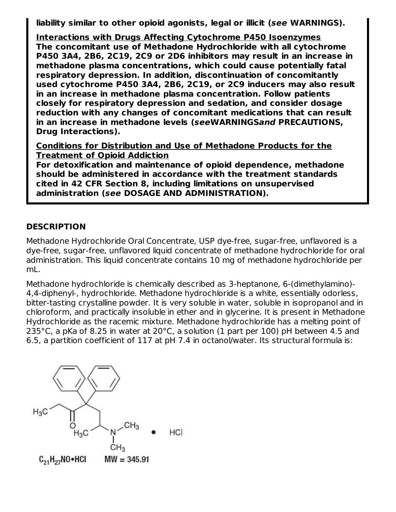**liability similar to other opioid agonists, legal or illicit (see WARNINGS).**

**Interactions with Drugs Affecting Cytochrome P450 Isoenzymes The concomitant use of Methadone Hydrochloride with all cytochrome P450 3A4, 2B6, 2C19, 2C9 or 2D6 inhibitors may result in an increase in methadone plasma concentrations, which could cause potentially fatal respiratory depression. In addition, discontinuation of concomitantly used cytochrome P450 3A4, 2B6, 2C19, or 2C9 inducers may also result in an increase in methadone plasma concentration. Follow patients closely for respiratory depression and sedation, and consider dosage reduction with any changes of concomitant medications that can result in an increase in methadone levels (seeWARNINGSand PRECAUTIONS, Drug Interactions).**

**Conditions for Distribution and Use of Methadone Products for the Treatment of Opioid Addiction**

**For detoxification and maintenance of opioid dependence, methadone should be administered in accordance with the treatment standards cited in 42 CFR Section 8, including limitations on unsupervised administration (see DOSAGE AND ADMINISTRATION).**

#### **DESCRIPTION**

Methadone Hydrochloride Oral Concentrate, USP dye-free, sugar-free, unflavored is a dye-free, sugar-free, unflavored liquid concentrate of methadone hydrochloride for oral administration. This liquid concentrate contains 10 mg of methadone hydrochloride per mL.

Methadone hydrochloride is chemically described as 3-heptanone, 6-(dimethylamino)- 4,4-diphenyl-, hydrochloride. Methadone hydrochloride is a white, essentially odorless, bitter-tasting crystalline powder. It is very soluble in water, soluble in isopropanol and in chloroform, and practically insoluble in ether and in glycerine. It is present in Methadone Hydrochloride as the racemic mixture. Methadone hydrochloride has a melting point of 235°C, a pKa of 8.25 in water at 20°C, a solution (1 part per 100) pH between 4.5 and 6.5, a partition coefficient of 117 at pH 7.4 in octanol/water. Its structural formula is:

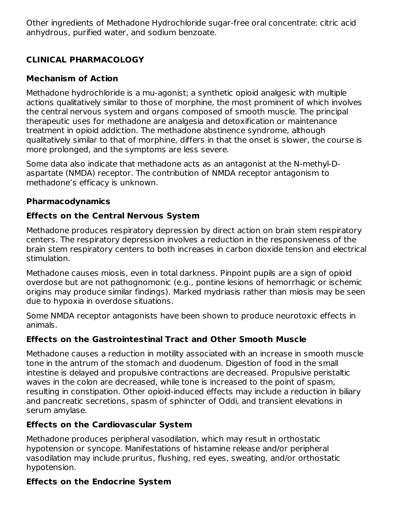Other ingredients of Methadone Hydrochloride sugar-free oral concentrate: citric acid anhydrous, purified water, and sodium benzoate.

# **CLINICAL PHARMACOLOGY**

## **Mechanism of Action**

Methadone hydrochloride is a mu-agonist; a synthetic opioid analgesic with multiple actions qualitatively similar to those of morphine, the most prominent of which involves the central nervous system and organs composed of smooth muscle. The principal therapeutic uses for methadone are analgesia and detoxification or maintenance treatment in opioid addiction. The methadone abstinence syndrome, although qualitatively similar to that of morphine, differs in that the onset is slower, the course is more prolonged, and the symptoms are less severe.

Some data also indicate that methadone acts as an antagonist at the N-methyl-Daspartate (NMDA) receptor. The contribution of NMDA receptor antagonism to methadone's efficacy is unknown.

## **Pharmacodynamics**

# **Effects on the Central Nervous System**

Methadone produces respiratory depression by direct action on brain stem respiratory centers. The respiratory depression involves a reduction in the responsiveness of the brain stem respiratory centers to both increases in carbon dioxide tension and electrical stimulation.

Methadone causes miosis, even in total darkness. Pinpoint pupils are a sign of opioid overdose but are not pathognomonic (e.g., pontine lesions of hemorrhagic or ischemic origins may produce similar findings). Marked mydriasis rather than miosis may be seen due to hypoxia in overdose situations.

Some NMDA receptor antagonists have been shown to produce neurotoxic effects in animals.

# **Effects on the Gastrointestinal Tract and Other Smooth Muscle**

Methadone causes a reduction in motility associated with an increase in smooth muscle tone in the antrum of the stomach and duodenum. Digestion of food in the small intestine is delayed and propulsive contractions are decreased. Propulsive peristaltic waves in the colon are decreased, while tone is increased to the point of spasm, resulting in constipation. Other opioid-induced effects may include a reduction in biliary and pancreatic secretions, spasm of sphincter of Oddi, and transient elevations in serum amylase.

# **Effects on the Cardiovascular System**

Methadone produces peripheral vasodilation, which may result in orthostatic hypotension or syncope. Manifestations of histamine release and/or peripheral vasodilation may include pruritus, flushing, red eyes, sweating, and/or orthostatic hypotension.

# **Effects on the Endocrine System**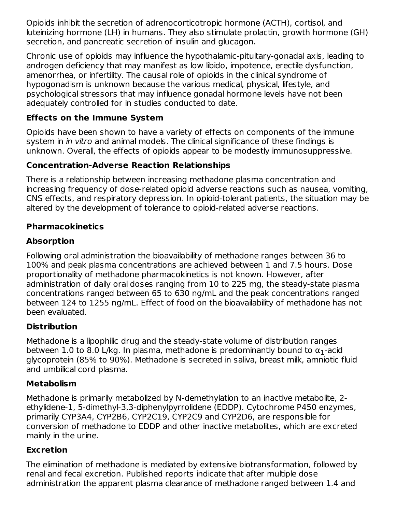Opioids inhibit the secretion of adrenocorticotropic hormone (ACTH), cortisol, and luteinizing hormone (LH) in humans. They also stimulate prolactin, growth hormone (GH) secretion, and pancreatic secretion of insulin and glucagon.

Chronic use of opioids may influence the hypothalamic-pituitary-gonadal axis, leading to androgen deficiency that may manifest as low libido, impotence, erectile dysfunction, amenorrhea, or infertility. The causal role of opioids in the clinical syndrome of hypogonadism is unknown because the various medical, physical, lifestyle, and psychological stressors that may influence gonadal hormone levels have not been adequately controlled for in studies conducted to date.

## **Effects on the Immune System**

Opioids have been shown to have a variety of effects on components of the immune system in *in vitro* and animal models. The clinical significance of these findings is unknown. Overall, the effects of opioids appear to be modestly immunosuppressive.

## **Concentration-Adverse Reaction Relationships**

There is a relationship between increasing methadone plasma concentration and increasing frequency of dose-related opioid adverse reactions such as nausea, vomiting, CNS effects, and respiratory depression. In opioid-tolerant patients, the situation may be altered by the development of tolerance to opioid-related adverse reactions.

## **Pharmacokinetics**

## **Absorption**

Following oral administration the bioavailability of methadone ranges between 36 to 100% and peak plasma concentrations are achieved between 1 and 7.5 hours. Dose proportionality of methadone pharmacokinetics is not known. However, after administration of daily oral doses ranging from 10 to 225 mg, the steady-state plasma concentrations ranged between 65 to 630 ng/mL and the peak concentrations ranged between 124 to 1255 ng/mL. Effect of food on the bioavailability of methadone has not been evaluated.

## **Distribution**

Methadone is a lipophilic drug and the steady-state volume of distribution ranges between 1.0 to 8.0 L/kg. In plasma, methadone is predominantly bound to  $\alpha_1$ -acid glycoprotein (85% to 90%). Methadone is secreted in saliva, breast milk, amniotic fluid and umbilical cord plasma.

## **Metabolism**

Methadone is primarily metabolized by N-demethylation to an inactive metabolite, 2 ethylidene-1, 5-dimethyl-3,3-diphenylpyrrolidene (EDDP). Cytochrome P450 enzymes, primarily CYP3A4, CYP2B6, CYP2C19, CYP2C9 and CYP2D6, are responsible for conversion of methadone to EDDP and other inactive metabolites, which are excreted mainly in the urine.

#### **Excretion**

The elimination of methadone is mediated by extensive biotransformation, followed by renal and fecal excretion. Published reports indicate that after multiple dose administration the apparent plasma clearance of methadone ranged between 1.4 and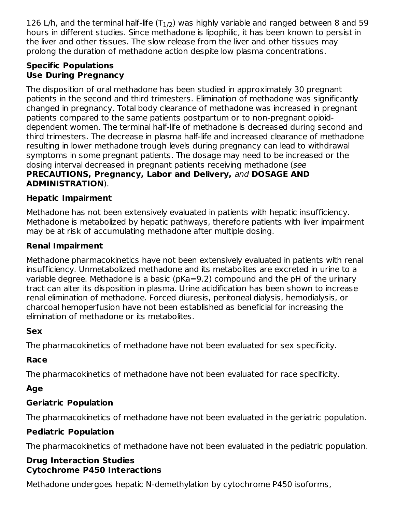126 L/h, and the terminal half-life (T $_{\rm 1/2}$ ) was highly variable and ranged between 8 and 59 hours in different studies. Since methadone is lipophilic, it has been known to persist in the liver and other tissues. The slow release from the liver and other tissues may prolong the duration of methadone action despite low plasma concentrations.

## **Specific Populations Use During Pregnancy**

The disposition of oral methadone has been studied in approximately 30 pregnant patients in the second and third trimesters. Elimination of methadone was significantly changed in pregnancy. Total body clearance of methadone was increased in pregnant patients compared to the same patients postpartum or to non-pregnant opioiddependent women. The terminal half-life of methadone is decreased during second and third trimesters. The decrease in plasma half-life and increased clearance of methadone resulting in lower methadone trough levels during pregnancy can lead to withdrawal symptoms in some pregnant patients. The dosage may need to be increased or the dosing interval decreased in pregnant patients receiving methadone (see **PRECAUTIONS, Pregnancy, Labor and Delivery,** and **DOSAGE AND ADMINISTRATION**).

## **Hepatic Impairment**

Methadone has not been extensively evaluated in patients with hepatic insufficiency. Methadone is metabolized by hepatic pathways, therefore patients with liver impairment may be at risk of accumulating methadone after multiple dosing.

## **Renal Impairment**

Methadone pharmacokinetics have not been extensively evaluated in patients with renal insufficiency. Unmetabolized methadone and its metabolites are excreted in urine to a variable degree. Methadone is a basic (pKa=9.2) compound and the pH of the urinary tract can alter its disposition in plasma. Urine acidification has been shown to increase renal elimination of methadone. Forced diuresis, peritoneal dialysis, hemodialysis, or charcoal hemoperfusion have not been established as beneficial for increasing the elimination of methadone or its metabolites.

## **Sex**

The pharmacokinetics of methadone have not been evaluated for sex specificity.

## **Race**

The pharmacokinetics of methadone have not been evaluated for race specificity.

# **Age**

## **Geriatric Population**

The pharmacokinetics of methadone have not been evaluated in the geriatric population.

## **Pediatric Population**

The pharmacokinetics of methadone have not been evaluated in the pediatric population.

#### **Drug Interaction Studies Cytochrome P450 Interactions**

Methadone undergoes hepatic N-demethylation by cytochrome P450 isoforms,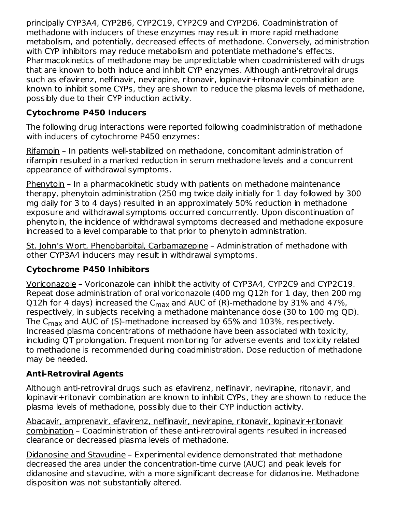principally CYP3A4, CYP2B6, CYP2C19, CYP2C9 and CYP2D6. Coadministration of methadone with inducers of these enzymes may result in more rapid methadone metabolism, and potentially, decreased effects of methadone. Conversely, administration with CYP inhibitors may reduce metabolism and potentiate methadone's effects. Pharmacokinetics of methadone may be unpredictable when coadministered with drugs that are known to both induce and inhibit CYP enzymes. Although anti-retroviral drugs such as efavirenz, nelfinavir, nevirapine, ritonavir, lopinavir+ritonavir combination are known to inhibit some CYPs, they are shown to reduce the plasma levels of methadone, possibly due to their CYP induction activity.

## **Cytochrome P450 Inducers**

The following drug interactions were reported following coadministration of methadone with inducers of cytochrome P450 enzymes:

Rifampin – In patients well-stabilized on methadone, concomitant administration of rifampin resulted in a marked reduction in serum methadone levels and a concurrent appearance of withdrawal symptoms.

Phenytoin – In a pharmacokinetic study with patients on methadone maintenance therapy, phenytoin administration (250 mg twice daily initially for 1 day followed by 300 mg daily for 3 to 4 days) resulted in an approximately 50% reduction in methadone exposure and withdrawal symptoms occurred concurrently. Upon discontinuation of phenytoin, the incidence of withdrawal symptoms decreased and methadone exposure increased to a level comparable to that prior to phenytoin administration.

St. John's Wort, Phenobarbital, Carbamazepine – Administration of methadone with other CYP3A4 inducers may result in withdrawal symptoms.

## **Cytochrome P450 Inhibitors**

Voriconazole – Voriconazole can inhibit the activity of CYP3A4, CYP2C9 and CYP2C19. Repeat dose administration of oral voriconazole (400 mg Q12h for 1 day, then 200 mg Q12h for 4 days) increased the C $_{\sf max}$  and AUC of (R)-methadone by 31% and 47%, respectively, in subjects receiving a methadone maintenance dose (30 to 100 mg QD). The C $_{\sf max}$  and AUC of (S)-methadone increased by 65% and 103%, respectively. Increased plasma concentrations of methadone have been associated with toxicity, including QT prolongation. Frequent monitoring for adverse events and toxicity related to methadone is recommended during coadministration. Dose reduction of methadone may be needed.

## **Anti-Retroviral Agents**

Although anti-retroviral drugs such as efavirenz, nelfinavir, nevirapine, ritonavir, and lopinavir+ritonavir combination are known to inhibit CYPs, they are shown to reduce the plasma levels of methadone, possibly due to their CYP induction activity.

Abacavir, amprenavir, efavirenz, nelfinavir, nevirapine, ritonavir, lopinavir+ritonavir combination – Coadministration of these anti-retroviral agents resulted in increased clearance or decreased plasma levels of methadone.

Didanosine and Stavudine – Experimental evidence demonstrated that methadone decreased the area under the concentration-time curve (AUC) and peak levels for didanosine and stavudine, with a more significant decrease for didanosine. Methadone disposition was not substantially altered.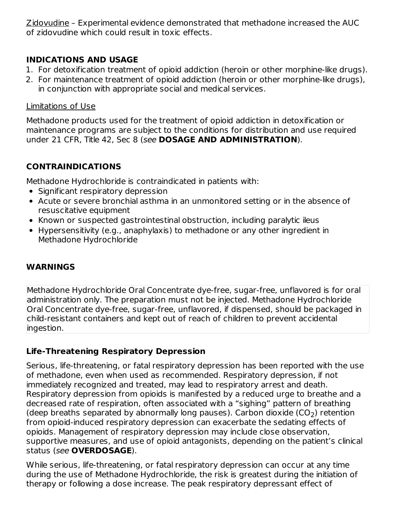Zidovudine – Experimental evidence demonstrated that methadone increased the AUC of zidovudine which could result in toxic effects.

## **INDICATIONS AND USAGE**

- 1. For detoxification treatment of opioid addiction (heroin or other morphine-like drugs).
- 2. For maintenance treatment of opioid addiction (heroin or other morphine-like drugs), in conjunction with appropriate social and medical services.

#### Limitations of Use

Methadone products used for the treatment of opioid addiction in detoxification or maintenance programs are subject to the conditions for distribution and use required under 21 CFR, Title 42, Sec 8 (see **DOSAGE AND ADMINISTRATION**).

# **CONTRAINDICATIONS**

Methadone Hydrochloride is contraindicated in patients with:

- Significant respiratory depression
- Acute or severe bronchial asthma in an unmonitored setting or in the absence of resuscitative equipment
- Known or suspected gastrointestinal obstruction, including paralytic ileus
- Hypersensitivity (e.g., anaphylaxis) to methadone or any other ingredient in Methadone Hydrochloride

# **WARNINGS**

Methadone Hydrochloride Oral Concentrate dye-free, sugar-free, unflavored is for oral administration only. The preparation must not be injected. Methadone Hydrochloride Oral Concentrate dye-free, sugar-free, unflavored, if dispensed, should be packaged in child-resistant containers and kept out of reach of children to prevent accidental ingestion.

# **Life-Threatening Respiratory Depression**

Serious, life-threatening, or fatal respiratory depression has been reported with the use of methadone, even when used as recommended. Respiratory depression, if not immediately recognized and treated, may lead to respiratory arrest and death. Respiratory depression from opioids is manifested by a reduced urge to breathe and a decreased rate of respiration, often associated with a "sighing" pattern of breathing (deep breaths separated by abnormally long pauses). Carbon dioxide (CO<sub>2</sub>) retention from opioid-induced respiratory depression can exacerbate the sedating effects of opioids. Management of respiratory depression may include close observation, supportive measures, and use of opioid antagonists, depending on the patient's clinical status (see **OVERDOSAGE**).

While serious, life-threatening, or fatal respiratory depression can occur at any time during the use of Methadone Hydrochloride, the risk is greatest during the initiation of therapy or following a dose increase. The peak respiratory depressant effect of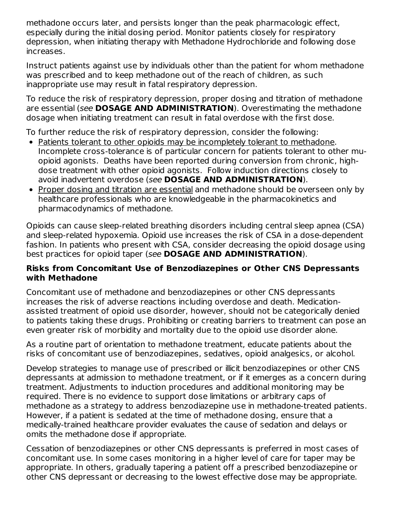methadone occurs later, and persists longer than the peak pharmacologic effect, especially during the initial dosing period. Monitor patients closely for respiratory depression, when initiating therapy with Methadone Hydrochloride and following dose increases.

Instruct patients against use by individuals other than the patient for whom methadone was prescribed and to keep methadone out of the reach of children, as such inappropriate use may result in fatal respiratory depression.

To reduce the risk of respiratory depression, proper dosing and titration of methadone are essential (see **DOSAGE AND ADMINISTRATION**). Overestimating the methadone dosage when initiating treatment can result in fatal overdose with the first dose.

To further reduce the risk of respiratory depression, consider the following:

- Patients tolerant to other opioids may be incompletely tolerant to methadone. Incomplete cross-tolerance is of particular concern for patients tolerant to other muopioid agonists. Deaths have been reported during conversion from chronic, highdose treatment with other opioid agonists. Follow induction directions closely to avoid inadvertent overdose (see **DOSAGE AND ADMINISTRATION**).
- Proper dosing and titration are essential and methadone should be overseen only by healthcare professionals who are knowledgeable in the pharmacokinetics and pharmacodynamics of methadone.

Opioids can cause sleep-related breathing disorders including central sleep apnea (CSA) and sleep-related hypoxemia. Opioid use increases the risk of CSA in a dose-dependent fashion. In patients who present with CSA, consider decreasing the opioid dosage using best practices for opioid taper (see **DOSAGE AND ADMINISTRATION**).

#### **Risks from Concomitant Use of Benzodiazepines or Other CNS Depressants with Methadone**

Concomitant use of methadone and benzodiazepines or other CNS depressants increases the risk of adverse reactions including overdose and death. Medicationassisted treatment of opioid use disorder, however, should not be categorically denied to patients taking these drugs. Prohibiting or creating barriers to treatment can pose an even greater risk of morbidity and mortality due to the opioid use disorder alone.

As a routine part of orientation to methadone treatment, educate patients about the risks of concomitant use of benzodiazepines, sedatives, opioid analgesics, or alcohol.

Develop strategies to manage use of prescribed or illicit benzodiazepines or other CNS depressants at admission to methadone treatment, or if it emerges as a concern during treatment. Adjustments to induction procedures and additional monitoring may be required. There is no evidence to support dose limitations or arbitrary caps of methadone as a strategy to address benzodiazepine use in methadone-treated patients. However, if a patient is sedated at the time of methadone dosing, ensure that a medically-trained healthcare provider evaluates the cause of sedation and delays or omits the methadone dose if appropriate.

Cessation of benzodiazepines or other CNS depressants is preferred in most cases of concomitant use. In some cases monitoring in a higher level of care for taper may be appropriate. In others, gradually tapering a patient off a prescribed benzodiazepine or other CNS depressant or decreasing to the lowest effective dose may be appropriate.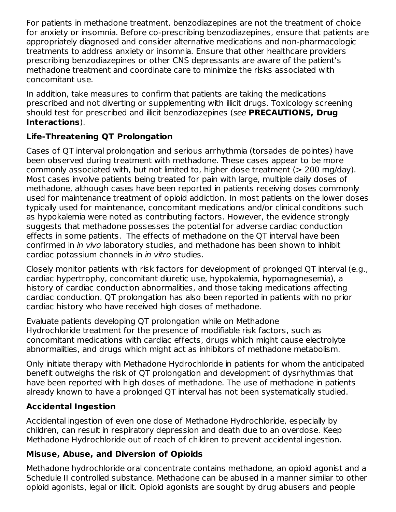For patients in methadone treatment, benzodiazepines are not the treatment of choice for anxiety or insomnia. Before co-prescribing benzodiazepines, ensure that patients are appropriately diagnosed and consider alternative medications and non-pharmacologic treatments to address anxiety or insomnia. Ensure that other healthcare providers prescribing benzodiazepines or other CNS depressants are aware of the patient's methadone treatment and coordinate care to minimize the risks associated with concomitant use.

In addition, take measures to confirm that patients are taking the medications prescribed and not diverting or supplementing with illicit drugs. Toxicology screening should test for prescribed and illicit benzodiazepines (see **PRECAUTIONS, Drug Interactions**).

# **Life-Threatening QT Prolongation**

Cases of QT interval prolongation and serious arrhythmia (torsades de pointes) have been observed during treatment with methadone. These cases appear to be more commonly associated with, but not limited to, higher dose treatment (> 200 mg/day). Most cases involve patients being treated for pain with large, multiple daily doses of methadone, although cases have been reported in patients receiving doses commonly used for maintenance treatment of opioid addiction. In most patients on the lower doses typically used for maintenance, concomitant medications and/or clinical conditions such as hypokalemia were noted as contributing factors. However, the evidence strongly suggests that methadone possesses the potential for adverse cardiac conduction effects in some patients. The effects of methadone on the QT interval have been confirmed in in vivo laboratory studies, and methadone has been shown to inhibit cardiac potassium channels in in vitro studies.

Closely monitor patients with risk factors for development of prolonged QT interval (e.g., cardiac hypertrophy, concomitant diuretic use, hypokalemia, hypomagnesemia), a history of cardiac conduction abnormalities, and those taking medications affecting cardiac conduction. QT prolongation has also been reported in patients with no prior cardiac history who have received high doses of methadone.

Evaluate patients developing QT prolongation while on Methadone Hydrochloride treatment for the presence of modifiable risk factors, such as concomitant medications with cardiac effects, drugs which might cause electrolyte abnormalities, and drugs which might act as inhibitors of methadone metabolism.

Only initiate therapy with Methadone Hydrochloride in patients for whom the anticipated benefit outweighs the risk of QT prolongation and development of dysrhythmias that have been reported with high doses of methadone. The use of methadone in patients already known to have a prolonged QT interval has not been systematically studied.

# **Accidental Ingestion**

Accidental ingestion of even one dose of Methadone Hydrochloride, especially by children, can result in respiratory depression and death due to an overdose. Keep Methadone Hydrochloride out of reach of children to prevent accidental ingestion.

# **Misuse, Abuse, and Diversion of Opioids**

Methadone hydrochloride oral concentrate contains methadone, an opioid agonist and a Schedule II controlled substance. Methadone can be abused in a manner similar to other opioid agonists, legal or illicit. Opioid agonists are sought by drug abusers and people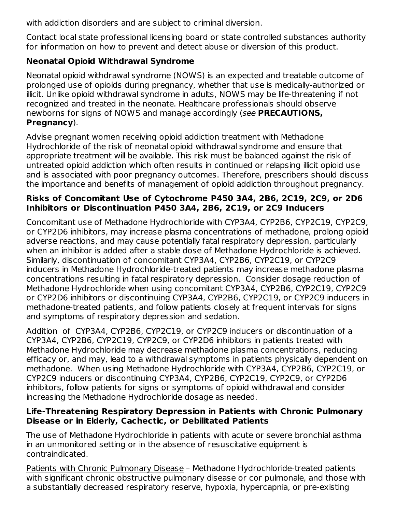with addiction disorders and are subject to criminal diversion.

Contact local state professional licensing board or state controlled substances authority for information on how to prevent and detect abuse or diversion of this product.

# **Neonatal Opioid Withdrawal Syndrome**

Neonatal opioid withdrawal syndrome (NOWS) is an expected and treatable outcome of prolonged use of opioids during pregnancy, whether that use is medically-authorized or illicit. Unlike opioid withdrawal syndrome in adults, NOWS may be life-threatening if not recognized and treated in the neonate. Healthcare professionals should observe newborns for signs of NOWS and manage accordingly (see **PRECAUTIONS, Pregnancy**).

Advise pregnant women receiving opioid addiction treatment with Methadone Hydrochloride of the risk of neonatal opioid withdrawal syndrome and ensure that appropriate treatment will be available. This risk must be balanced against the risk of untreated opioid addiction which often results in continued or relapsing illicit opioid use and is associated with poor pregnancy outcomes. Therefore, prescribers should discuss the importance and benefits of management of opioid addiction throughout pregnancy.

## **Risks of Concomitant Use of Cytochrome P450 3A4, 2B6, 2C19, 2C9, or 2D6 Inhibitors or Discontinuation P450 3A4, 2B6, 2C19, or 2C9 Inducers**

Concomitant use of Methadone Hydrochloride with CYP3A4, CYP2B6, CYP2C19, CYP2C9, or CYP2D6 inhibitors, may increase plasma concentrations of methadone, prolong opioid adverse reactions, and may cause potentially fatal respiratory depression, particularly when an inhibitor is added after a stable dose of Methadone Hydrochloride is achieved. Similarly, discontinuation of concomitant CYP3A4, CYP2B6, CYP2C19, or CYP2C9 inducers in Methadone Hydrochloride-treated patients may increase methadone plasma concentrations resulting in fatal respiratory depression. Consider dosage reduction of Methadone Hydrochloride when using concomitant CYP3A4, CYP2B6, CYP2C19, CYP2C9 or CYP2D6 inhibitors or discontinuing CYP3A4, CYP2B6, CYP2C19, or CYP2C9 inducers in methadone-treated patients, and follow patients closely at frequent intervals for signs and symptoms of respiratory depression and sedation.

Addition of CYP3A4, CYP2B6, CYP2C19, or CYP2C9 inducers or discontinuation of a CYP3A4, CYP2B6, CYP2C19, CYP2C9, or CYP2D6 inhibitors in patients treated with Methadone Hydrochloride may decrease methadone plasma concentrations, reducing efficacy or, and may, lead to a withdrawal symptoms in patients physically dependent on methadone. When using Methadone Hydrochloride with CYP3A4, CYP2B6, CYP2C19, or CYP2C9 inducers or discontinuing CYP3A4, CYP2B6, CYP2C19, CYP2C9, or CYP2D6 inhibitors, follow patients for signs or symptoms of opioid withdrawal and consider increasing the Methadone Hydrochloride dosage as needed.

## **Life-Threatening Respiratory Depression in Patients with Chronic Pulmonary Disease or in Elderly, Cachectic, or Debilitated Patients**

The use of Methadone Hydrochloride in patients with acute or severe bronchial asthma in an unmonitored setting or in the absence of resuscitative equipment is contraindicated.

Patients with Chronic Pulmonary Disease – Methadone Hydrochloride-treated patients with significant chronic obstructive pulmonary disease or cor pulmonale, and those with a substantially decreased respiratory reserve, hypoxia, hypercapnia, or pre-existing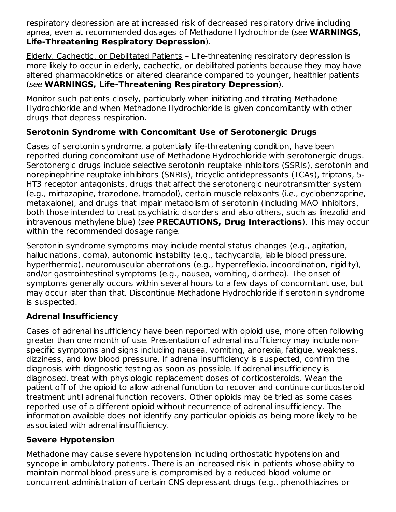respiratory depression are at increased risk of decreased respiratory drive including apnea, even at recommended dosages of Methadone Hydrochloride (see **WARNINGS, Life-Threatening Respiratory Depression**).

Elderly, Cachectic, or Debilitated Patients – Life-threatening respiratory depression is more likely to occur in elderly, cachectic, or debilitated patients because they may have altered pharmacokinetics or altered clearance compared to younger, healthier patients (see **WARNINGS, Life-Threatening Respiratory Depression**).

Monitor such patients closely, particularly when initiating and titrating Methadone Hydrochloride and when Methadone Hydrochloride is given concomitantly with other drugs that depress respiration.

# **Serotonin Syndrome with Concomitant Use of Serotonergic Drugs**

Cases of serotonin syndrome, a potentially life-threatening condition, have been reported during concomitant use of Methadone Hydrochloride with serotonergic drugs. Serotonergic drugs include selective serotonin reuptake inhibitors (SSRIs), serotonin and norepinephrine reuptake inhibitors (SNRIs), tricyclic antidepressants (TCAs), triptans, 5- HT3 receptor antagonists, drugs that affect the serotonergic neurotransmitter system (e.g., mirtazapine, trazodone, tramadol), certain muscle relaxants (i.e., cyclobenzaprine, metaxalone), and drugs that impair metabolism of serotonin (including MAO inhibitors, both those intended to treat psychiatric disorders and also others, such as linezolid and intravenous methylene blue) (see **PRECAUTIONS, Drug Interactions**). This may occur within the recommended dosage range.

Serotonin syndrome symptoms may include mental status changes (e.g., agitation, hallucinations, coma), autonomic instability (e.g., tachycardia, labile blood pressure, hyperthermia), neuromuscular aberrations (e.g., hyperreflexia, incoordination, rigidity), and/or gastrointestinal symptoms (e.g., nausea, vomiting, diarrhea). The onset of symptoms generally occurs within several hours to a few days of concomitant use, but may occur later than that. Discontinue Methadone Hydrochloride if serotonin syndrome is suspected.

# **Adrenal Insufficiency**

Cases of adrenal insufficiency have been reported with opioid use, more often following greater than one month of use. Presentation of adrenal insufficiency may include nonspecific symptoms and signs including nausea, vomiting, anorexia, fatigue, weakness, dizziness, and low blood pressure. If adrenal insufficiency is suspected, confirm the diagnosis with diagnostic testing as soon as possible. If adrenal insufficiency is diagnosed, treat with physiologic replacement doses of corticosteroids. Wean the patient off of the opioid to allow adrenal function to recover and continue corticosteroid treatment until adrenal function recovers. Other opioids may be tried as some cases reported use of a different opioid without recurrence of adrenal insufficiency. The information available does not identify any particular opioids as being more likely to be associated with adrenal insufficiency.

## **Severe Hypotension**

Methadone may cause severe hypotension including orthostatic hypotension and syncope in ambulatory patients. There is an increased risk in patients whose ability to maintain normal blood pressure is compromised by a reduced blood volume or concurrent administration of certain CNS depressant drugs (e.g., phenothiazines or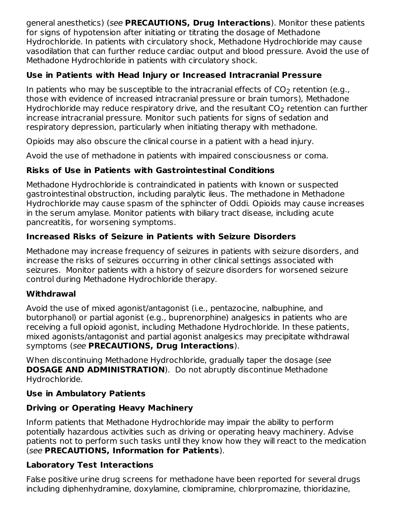general anesthetics) (see **PRECAUTIONS, Drug Interactions**). Monitor these patients for signs of hypotension after initiating or titrating the dosage of Methadone Hydrochloride. In patients with circulatory shock, Methadone Hydrochloride may cause vasodilation that can further reduce cardiac output and blood pressure. Avoid the use of Methadone Hydrochloride in patients with circulatory shock.

## **Use in Patients with Head Injury or Increased Intracranial Pressure**

In patients who may be susceptible to the intracranial effects of CO<sub>2</sub> retention (e.g., those with evidence of increased intracranial pressure or brain tumors), Methadone Hydrochloride may reduce respiratory drive, and the resultant CO $_2$  retention can further increase intracranial pressure. Monitor such patients for signs of sedation and respiratory depression, particularly when initiating therapy with methadone.

Opioids may also obscure the clinical course in a patient with a head injury.

Avoid the use of methadone in patients with impaired consciousness or coma.

# **Risks of Use in Patients with Gastrointestinal Conditions**

Methadone Hydrochloride is contraindicated in patients with known or suspected gastrointestinal obstruction, including paralytic ileus. The methadone in Methadone Hydrochloride may cause spasm of the sphincter of Oddi. Opioids may cause increases in the serum amylase. Monitor patients with biliary tract disease, including acute pancreatitis, for worsening symptoms.

# **Increased Risks of Seizure in Patients with Seizure Disorders**

Methadone may increase frequency of seizures in patients with seizure disorders, and increase the risks of seizures occurring in other clinical settings associated with seizures. Monitor patients with a history of seizure disorders for worsened seizure control during Methadone Hydrochloride therapy.

# **Withdrawal**

Avoid the use of mixed agonist/antagonist (i.e., pentazocine, nalbuphine, and butorphanol) or partial agonist (e.g., buprenorphine) analgesics in patients who are receiving a full opioid agonist, including Methadone Hydrochloride. In these patients, mixed agonists/antagonist and partial agonist analgesics may precipitate withdrawal symptoms (see **PRECAUTIONS, Drug Interactions**).

When discontinuing Methadone Hydrochloride, gradually taper the dosage (see **DOSAGE AND ADMINISTRATION**). Do not abruptly discontinue Methadone Hydrochloride.

# **Use in Ambulatory Patients**

# **Driving or Operating Heavy Machinery**

Inform patients that Methadone Hydrochloride may impair the ability to perform potentially hazardous activities such as driving or operating heavy machinery. Advise patients not to perform such tasks until they know how they will react to the medication (see **PRECAUTIONS, Information for Patients**).

# **Laboratory Test Interactions**

False positive urine drug screens for methadone have been reported for several drugs including diphenhydramine, doxylamine, clomipramine, chlorpromazine, thioridazine,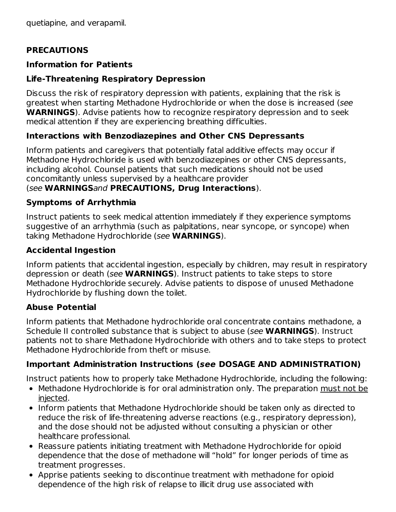quetiapine, and verapamil.

#### **PRECAUTIONS**

#### **Information for Patients**

## **Life-Threatening Respiratory Depression**

Discuss the risk of respiratory depression with patients, explaining that the risk is greatest when starting Methadone Hydrochloride or when the dose is increased (see **WARNINGS**). Advise patients how to recognize respiratory depression and to seek medical attention if they are experiencing breathing difficulties.

## **Interactions with Benzodiazepines and Other CNS Depressants**

Inform patients and caregivers that potentially fatal additive effects may occur if Methadone Hydrochloride is used with benzodiazepines or other CNS depressants, including alcohol. Counsel patients that such medications should not be used concomitantly unless supervised by a healthcare provider

#### (see **WARNINGS**and **PRECAUTIONS, Drug Interactions**).

#### **Symptoms of Arrhythmia**

Instruct patients to seek medical attention immediately if they experience symptoms suggestive of an arrhythmia (such as palpitations, near syncope, or syncope) when taking Methadone Hydrochloride (see **WARNINGS**).

#### **Accidental Ingestion**

Inform patients that accidental ingestion, especially by children, may result in respiratory depression or death (see **WARNINGS**). Instruct patients to take steps to store Methadone Hydrochloride securely. Advise patients to dispose of unused Methadone Hydrochloride by flushing down the toilet.

## **Abuse Potential**

Inform patients that Methadone hydrochloride oral concentrate contains methadone, a Schedule II controlled substance that is subject to abuse (see **WARNINGS**). Instruct patients not to share Methadone Hydrochloride with others and to take steps to protect Methadone Hydrochloride from theft or misuse.

## **Important Administration Instructions (see DOSAGE AND ADMINISTRATION)**

Instruct patients how to properly take Methadone Hydrochloride, including the following:

- Methadone Hydrochloride is for oral administration only. The preparation must not be injected.
- Inform patients that Methadone Hydrochloride should be taken only as directed to reduce the risk of life-threatening adverse reactions (e.g., respiratory depression), and the dose should not be adjusted without consulting a physician or other healthcare professional.
- Reassure patients initiating treatment with Methadone Hydrochloride for opioid dependence that the dose of methadone will "hold" for longer periods of time as treatment progresses.
- Apprise patients seeking to discontinue treatment with methadone for opioid dependence of the high risk of relapse to illicit drug use associated with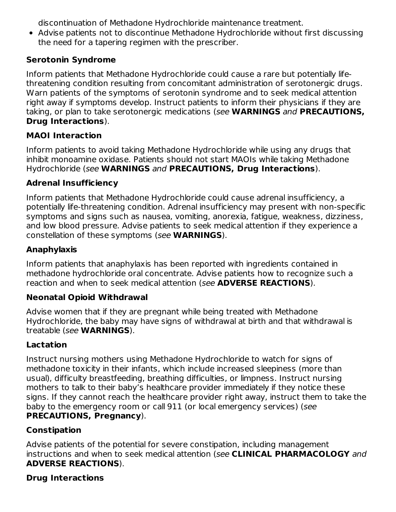discontinuation of Methadone Hydrochloride maintenance treatment.

Advise patients not to discontinue Methadone Hydrochloride without first discussing the need for a tapering regimen with the prescriber.

## **Serotonin Syndrome**

Inform patients that Methadone Hydrochloride could cause a rare but potentially lifethreatening condition resulting from concomitant administration of serotonergic drugs. Warn patients of the symptoms of serotonin syndrome and to seek medical attention right away if symptoms develop. Instruct patients to inform their physicians if they are taking, or plan to take serotonergic medications (see **WARNINGS** and **PRECAUTIONS, Drug Interactions**).

## **MAOI Interaction**

Inform patients to avoid taking Methadone Hydrochloride while using any drugs that inhibit monoamine oxidase. Patients should not start MAOIs while taking Methadone Hydrochloride (see **WARNINGS** and **PRECAUTIONS, Drug Interactions**).

## **Adrenal Insufficiency**

Inform patients that Methadone Hydrochloride could cause adrenal insufficiency, a potentially life-threatening condition. Adrenal insufficiency may present with non-specific symptoms and signs such as nausea, vomiting, anorexia, fatigue, weakness, dizziness, and low blood pressure. Advise patients to seek medical attention if they experience a constellation of these symptoms (see **WARNINGS**).

## **Anaphylaxis**

Inform patients that anaphylaxis has been reported with ingredients contained in methadone hydrochloride oral concentrate. Advise patients how to recognize such a reaction and when to seek medical attention (see **ADVERSE REACTIONS**).

## **Neonatal Opioid Withdrawal**

Advise women that if they are pregnant while being treated with Methadone Hydrochloride, the baby may have signs of withdrawal at birth and that withdrawal is treatable (see **WARNINGS**).

## **Lactation**

Instruct nursing mothers using Methadone Hydrochloride to watch for signs of methadone toxicity in their infants, which include increased sleepiness (more than usual), difficulty breastfeeding, breathing difficulties, or limpness. Instruct nursing mothers to talk to their baby's healthcare provider immediately if they notice these signs. If they cannot reach the healthcare provider right away, instruct them to take the baby to the emergency room or call 911 (or local emergency services) (see **PRECAUTIONS, Pregnancy**).

# **Constipation**

Advise patients of the potential for severe constipation, including management instructions and when to seek medical attention (see **CLINICAL PHARMACOLOGY** and **ADVERSE REACTIONS**).

## **Drug Interactions**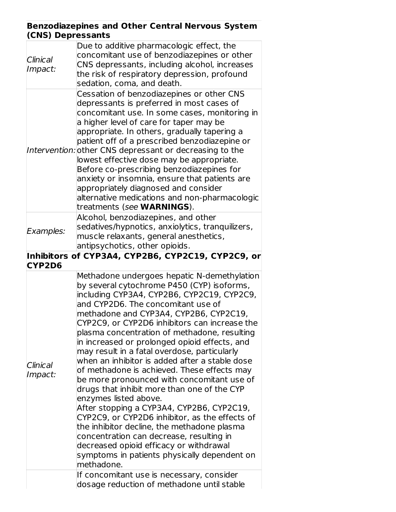#### **Benzodiazepines and Other Central Nervous System (CNS) Depressants**

| Clinical<br>Impact: | Due to additive pharmacologic effect, the<br>concomitant use of benzodiazepines or other<br>CNS depressants, including alcohol, increases<br>the risk of respiratory depression, profound                                                                                                                                                                                                                                                                                                                                                                                                                                                                                                                                                                                                                                                                                                                                                                                                        |
|---------------------|--------------------------------------------------------------------------------------------------------------------------------------------------------------------------------------------------------------------------------------------------------------------------------------------------------------------------------------------------------------------------------------------------------------------------------------------------------------------------------------------------------------------------------------------------------------------------------------------------------------------------------------------------------------------------------------------------------------------------------------------------------------------------------------------------------------------------------------------------------------------------------------------------------------------------------------------------------------------------------------------------|
|                     | sedation, coma, and death.<br>Cessation of benzodiazepines or other CNS<br>depressants is preferred in most cases of<br>concomitant use. In some cases, monitoring in<br>a higher level of care for taper may be<br>appropriate. In others, gradually tapering a<br>patient off of a prescribed benzodiazepine or<br>Intervention: other CNS depressant or decreasing to the<br>lowest effective dose may be appropriate.<br>Before co-prescribing benzodiazepines for<br>anxiety or insomnia, ensure that patients are                                                                                                                                                                                                                                                                                                                                                                                                                                                                          |
|                     | appropriately diagnosed and consider<br>alternative medications and non-pharmacologic<br>treatments (see <b>WARNINGS</b> ).                                                                                                                                                                                                                                                                                                                                                                                                                                                                                                                                                                                                                                                                                                                                                                                                                                                                      |
| Examples:           | Alcohol, benzodiazepines, and other<br>sedatives/hypnotics, anxiolytics, tranquilizers,<br>muscle relaxants, general anesthetics,<br>antipsychotics, other opioids.                                                                                                                                                                                                                                                                                                                                                                                                                                                                                                                                                                                                                                                                                                                                                                                                                              |
|                     | Inhibitors of CYP3A4, CYP2B6, CYP2C19, CYP2C9, or                                                                                                                                                                                                                                                                                                                                                                                                                                                                                                                                                                                                                                                                                                                                                                                                                                                                                                                                                |
| CYP2D6              |                                                                                                                                                                                                                                                                                                                                                                                                                                                                                                                                                                                                                                                                                                                                                                                                                                                                                                                                                                                                  |
| Clinical<br>Impact: | Methadone undergoes hepatic N-demethylation<br>by several cytochrome P450 (CYP) isoforms,<br>including CYP3A4, CYP2B6, CYP2C19, CYP2C9,<br>and CYP2D6. The concomitant use of<br>methadone and CYP3A4, CYP2B6, CYP2C19,<br>CYP2C9, or CYP2D6 inhibitors can increase the<br>plasma concentration of methadone, resulting<br>in increased or prolonged opioid effects, and<br>may result in a fatal overdose, particularly<br>when an inhibitor is added after a stable dose<br>of methadone is achieved. These effects may<br>be more pronounced with concomitant use of<br>drugs that inhibit more than one of the CYP<br>enzymes listed above.<br>After stopping a CYP3A4, CYP2B6, CYP2C19,<br>CYP2C9, or CYP2D6 inhibitor, as the effects of<br>the inhibitor decline, the methadone plasma<br>concentration can decrease, resulting in<br>decreased opioid efficacy or withdrawal<br>symptoms in patients physically dependent on<br>methadone.<br>If concomitant use is necessary, consider |
|                     | dosage reduction of methadone until stable                                                                                                                                                                                                                                                                                                                                                                                                                                                                                                                                                                                                                                                                                                                                                                                                                                                                                                                                                       |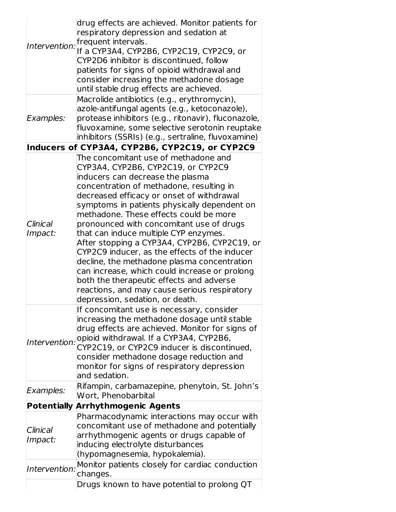| Intervention:<br>Examples:           | drug effects are achieved. Monitor patients for<br>respiratory depression and sedation at<br>frequent intervals.<br>If a CYP3A4, CYP2B6, CYP2C19, CYP2C9, or<br>CYP2D6 inhibitor is discontinued, follow<br>patients for signs of opioid withdrawal and<br>consider increasing the methadone dosage<br>until stable drug effects are achieved.<br>Macrolide antibiotics (e.g., erythromycin),<br>azole-antifungal agents (e.g., ketoconazole),<br>protease inhibitors (e.g., ritonavir), fluconazole,<br>fluvoxamine, some selective serotonin reuptake                                                                                                                                                                |
|--------------------------------------|------------------------------------------------------------------------------------------------------------------------------------------------------------------------------------------------------------------------------------------------------------------------------------------------------------------------------------------------------------------------------------------------------------------------------------------------------------------------------------------------------------------------------------------------------------------------------------------------------------------------------------------------------------------------------------------------------------------------|
|                                      | inhibitors (SSRIs) (e.g., sertraline, fluvoxamine)                                                                                                                                                                                                                                                                                                                                                                                                                                                                                                                                                                                                                                                                     |
|                                      | Inducers of CYP3A4, CYP2B6, CYP2C19, or CYP2C9                                                                                                                                                                                                                                                                                                                                                                                                                                                                                                                                                                                                                                                                         |
| Clinical<br>Impact:                  | The concomitant use of methadone and<br>CYP3A4, CYP2B6, CYP2C19, or CYP2C9<br>inducers can decrease the plasma<br>concentration of methadone, resulting in<br>decreased efficacy or onset of withdrawal<br>symptoms in patients physically dependent on<br>methadone. These effects could be more<br>pronounced with concomitant use of drugs<br>that can induce multiple CYP enzymes.<br>After stopping a CYP3A4, CYP2B6, CYP2C19, or<br>CYP2C9 inducer, as the effects of the inducer<br>decline, the methadone plasma concentration<br>can increase, which could increase or prolong<br>both the therapeutic effects and adverse<br>reactions, and may cause serious respiratory<br>depression, sedation, or death. |
| Intervention:                        | If concomitant use is necessary, consider<br>increasing the methadone dosage until stable<br>drug effects are achieved. Monitor for signs of<br>opioid withdrawal. If a CYP3A4, CYP2B6,<br>CYP2C19, or CYP2C9 inducer is discontinued,<br>consider methadone dosage reduction and<br>monitor for signs of respiratory depression<br>and sedation.                                                                                                                                                                                                                                                                                                                                                                      |
| Examples:                            | Rifampin, carbamazepine, phenytoin, St. John's<br>Wort, Phenobarbital                                                                                                                                                                                                                                                                                                                                                                                                                                                                                                                                                                                                                                                  |
|                                      | <b>Potentially Arrhythmogenic Agents</b>                                                                                                                                                                                                                                                                                                                                                                                                                                                                                                                                                                                                                                                                               |
| Clinical<br>Impact:<br>Intervention: | Pharmacodynamic interactions may occur with<br>concomitant use of methadone and potentially<br>arrhythmogenic agents or drugs capable of<br>inducing electrolyte disturbances<br>(hypomagnesemia, hypokalemia).<br>Monitor patients closely for cardiac conduction<br>changes.                                                                                                                                                                                                                                                                                                                                                                                                                                         |
|                                      | Drugs known to have potential to prolong QT                                                                                                                                                                                                                                                                                                                                                                                                                                                                                                                                                                                                                                                                            |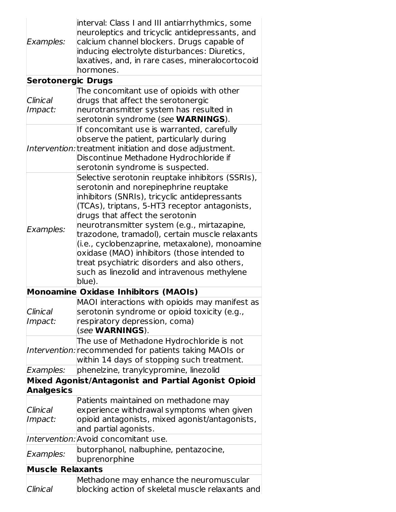| Examples:                 | interval: Class I and III antiarrhythmics, some<br>neuroleptics and tricyclic antidepressants, and<br>calcium channel blockers. Drugs capable of<br>inducing electrolyte disturbances: Diuretics,<br>laxatives, and, in rare cases, mineralocortocoid<br>hormones.                                                                                                                                                                                                                                                                        |
|---------------------------|-------------------------------------------------------------------------------------------------------------------------------------------------------------------------------------------------------------------------------------------------------------------------------------------------------------------------------------------------------------------------------------------------------------------------------------------------------------------------------------------------------------------------------------------|
| <b>Serotonergic Drugs</b> |                                                                                                                                                                                                                                                                                                                                                                                                                                                                                                                                           |
| Clinical<br>Impact:       | The concomitant use of opioids with other<br>drugs that affect the serotonergic<br>neurotransmitter system has resulted in<br>serotonin syndrome (see WARNINGS).                                                                                                                                                                                                                                                                                                                                                                          |
|                           | If concomitant use is warranted, carefully<br>observe the patient, particularly during<br>Intervention: treatment initiation and dose adjustment.<br>Discontinue Methadone Hydrochloride if<br>serotonin syndrome is suspected.                                                                                                                                                                                                                                                                                                           |
| Examples:                 | Selective serotonin reuptake inhibitors (SSRIs),<br>serotonin and norepinephrine reuptake<br>inhibitors (SNRIs), tricyclic antidepressants<br>(TCAs), triptans, 5-HT3 receptor antagonists,<br>drugs that affect the serotonin<br>neurotransmitter system (e.g., mirtazapine,<br>trazodone, tramadol), certain muscle relaxants<br>(i.e., cyclobenzaprine, metaxalone), monoamine<br>oxidase (MAO) inhibitors (those intended to<br>treat psychiatric disorders and also others,<br>such as linezolid and intravenous methylene<br>blue). |
|                           | <b>Monoamine Oxidase Inhibitors (MAOIs)</b>                                                                                                                                                                                                                                                                                                                                                                                                                                                                                               |
| Clinical<br>Impact:       | MAOI interactions with opioids may manifest as<br>serotonin syndrome or opioid toxicity (e.g.,<br>respiratory depression, coma)<br>(see WARNINGS).                                                                                                                                                                                                                                                                                                                                                                                        |
|                           | The use of Methadone Hydrochloride is not<br>Intervention: recommended for patients taking MAOIs or<br>within 14 days of stopping such treatment.                                                                                                                                                                                                                                                                                                                                                                                         |
| Examples:                 | phenelzine, tranylcypromine, linezolid                                                                                                                                                                                                                                                                                                                                                                                                                                                                                                    |
|                           | Mixed Agonist/Antagonist and Partial Agonist Opioid                                                                                                                                                                                                                                                                                                                                                                                                                                                                                       |
| <b>Analgesics</b>         |                                                                                                                                                                                                                                                                                                                                                                                                                                                                                                                                           |
| Clinical<br>Impact:       | Patients maintained on methadone may<br>experience withdrawal symptoms when given<br>opioid antagonists, mixed agonist/antagonists,<br>and partial agonists.                                                                                                                                                                                                                                                                                                                                                                              |
|                           | Intervention: Avoid concomitant use.                                                                                                                                                                                                                                                                                                                                                                                                                                                                                                      |
| Examples:                 | butorphanol, nalbuphine, pentazocine,<br>buprenorphine                                                                                                                                                                                                                                                                                                                                                                                                                                                                                    |
| <b>Muscle Relaxants</b>   |                                                                                                                                                                                                                                                                                                                                                                                                                                                                                                                                           |
| Clinical                  | Methadone may enhance the neuromuscular<br>blocking action of skeletal muscle relaxants and                                                                                                                                                                                                                                                                                                                                                                                                                                               |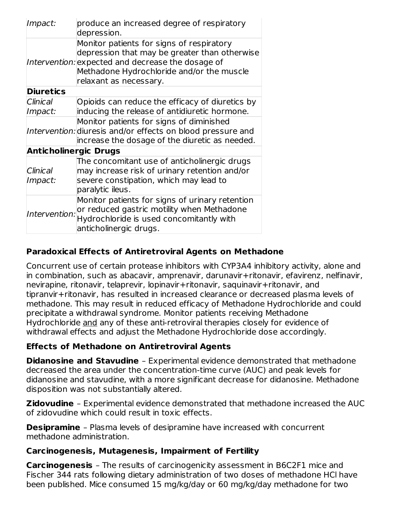| Impact:                      | produce an increased degree of respiratory<br>depression.                                                                                                                                                              |  |  |  |
|------------------------------|------------------------------------------------------------------------------------------------------------------------------------------------------------------------------------------------------------------------|--|--|--|
|                              | Monitor patients for signs of respiratory<br>depression that may be greater than otherwise<br>Intervention: expected and decrease the dosage of<br>Methadone Hydrochloride and/or the muscle<br>relaxant as necessary. |  |  |  |
| <b>Diuretics</b>             |                                                                                                                                                                                                                        |  |  |  |
| Clinical                     | Opioids can reduce the efficacy of diuretics by<br>inducing the release of antidiuretic hormone.                                                                                                                       |  |  |  |
| Impact:                      |                                                                                                                                                                                                                        |  |  |  |
|                              | Monitor patients for signs of diminished<br>Intervention: diuresis and/or effects on blood pressure and<br>increase the dosage of the diuretic as needed.                                                              |  |  |  |
| <b>Anticholinergic Drugs</b> |                                                                                                                                                                                                                        |  |  |  |
| Clinical<br>Impact:          | The concomitant use of anticholinergic drugs<br>may increase risk of urinary retention and/or<br>severe constipation, which may lead to<br>paralytic ileus.                                                            |  |  |  |
| Intervention:                | Monitor patients for signs of urinary retention<br>or reduced gastric motility when Methadone<br>Hydrochloride is used concomitantly with<br>anticholinergic drugs.                                                    |  |  |  |

## **Paradoxical Effects of Antiretroviral Agents on Methadone**

Concurrent use of certain protease inhibitors with CYP3A4 inhibitory activity, alone and in combination, such as abacavir, amprenavir, darunavir+ritonavir, efavirenz, nelfinavir, nevirapine, ritonavir, telaprevir, lopinavir+ritonavir, saquinavir+ritonavir, and tipranvir+ritonavir, has resulted in increased clearance or decreased plasma levels of methadone. This may result in reduced efficacy of Methadone Hydrochloride and could precipitate a withdrawal syndrome. Monitor patients receiving Methadone Hydrochloride and any of these anti-retroviral therapies closely for evidence of withdrawal effects and adjust the Methadone Hydrochloride dose accordingly.

## **Effects of Methadone on Antiretroviral Agents**

**Didanosine and Stavudine** – Experimental evidence demonstrated that methadone decreased the area under the concentration-time curve (AUC) and peak levels for didanosine and stavudine, with a more significant decrease for didanosine. Methadone disposition was not substantially altered.

**Zidovudine** – Experimental evidence demonstrated that methadone increased the AUC of zidovudine which could result in toxic effects.

**Desipramine** - Plasma levels of desipramine have increased with concurrent methadone administration.

#### **Carcinogenesis, Mutagenesis, Impairment of Fertility**

**Carcinogenesis** – The results of carcinogenicity assessment in B6C2F1 mice and Fischer 344 rats following dietary administration of two doses of methadone HCl have been published. Mice consumed 15 mg/kg/day or 60 mg/kg/day methadone for two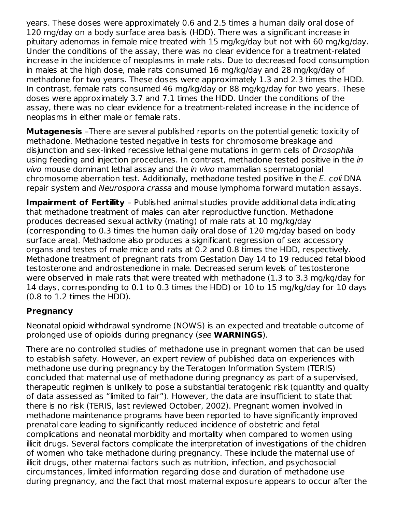years. These doses were approximately 0.6 and 2.5 times a human daily oral dose of 120 mg/day on a body surface area basis (HDD). There was a significant increase in pituitary adenomas in female mice treated with 15 mg/kg/day but not with 60 mg/kg/day. Under the conditions of the assay, there was no clear evidence for a treatment-related increase in the incidence of neoplasms in male rats. Due to decreased food consumption in males at the high dose, male rats consumed 16 mg/kg/day and 28 mg/kg/day of methadone for two years. These doses were approximately 1.3 and 2.3 times the HDD. In contrast, female rats consumed 46 mg/kg/day or 88 mg/kg/day for two years. These doses were approximately 3.7 and 7.1 times the HDD. Under the conditions of the assay, there was no clear evidence for a treatment-related increase in the incidence of neoplasms in either male or female rats.

**Mutagenesis** –There are several published reports on the potential genetic toxicity of methadone. Methadone tested negative in tests for chromosome breakage and disjunction and sex-linked recessive lethal gene mutations in germ cells of Drosophila using feeding and injection procedures. In contrast, methadone tested positive in the in vivo mouse dominant lethal assay and the in vivo mammalian spermatogonial chromosome aberration test. Additionally, methadone tested positive in the E. coli DNA repair system and Neurospora crassa and mouse lymphoma forward mutation assays.

**Impairment of Fertility** – Published animal studies provide additional data indicating that methadone treatment of males can alter reproductive function. Methadone produces decreased sexual activity (mating) of male rats at 10 mg/kg/day (corresponding to 0.3 times the human daily oral dose of 120 mg/day based on body surface area). Methadone also produces a significant regression of sex accessory organs and testes of male mice and rats at 0.2 and 0.8 times the HDD, respectively. Methadone treatment of pregnant rats from Gestation Day 14 to 19 reduced fetal blood testosterone and androstenedione in male. Decreased serum levels of testosterone were observed in male rats that were treated with methadone (1.3 to 3.3 mg/kg/day for 14 days, corresponding to 0.1 to 0.3 times the HDD) or 10 to 15 mg/kg/day for 10 days (0.8 to 1.2 times the HDD).

## **Pregnancy**

Neonatal opioid withdrawal syndrome (NOWS) is an expected and treatable outcome of prolonged use of opioids during pregnancy (see **WARNINGS**).

There are no controlled studies of methadone use in pregnant women that can be used to establish safety. However, an expert review of published data on experiences with methadone use during pregnancy by the Teratogen Information System (TERIS) concluded that maternal use of methadone during pregnancy as part of a supervised, therapeutic regimen is unlikely to pose a substantial teratogenic risk (quantity and quality of data assessed as "limited to fair"). However, the data are insufficient to state that there is no risk (TERIS, last reviewed October, 2002). Pregnant women involved in methadone maintenance programs have been reported to have significantly improved prenatal care leading to significantly reduced incidence of obstetric and fetal complications and neonatal morbidity and mortality when compared to women using illicit drugs. Several factors complicate the interpretation of investigations of the children of women who take methadone during pregnancy. These include the maternal use of illicit drugs, other maternal factors such as nutrition, infection, and psychosocial circumstances, limited information regarding dose and duration of methadone use during pregnancy, and the fact that most maternal exposure appears to occur after the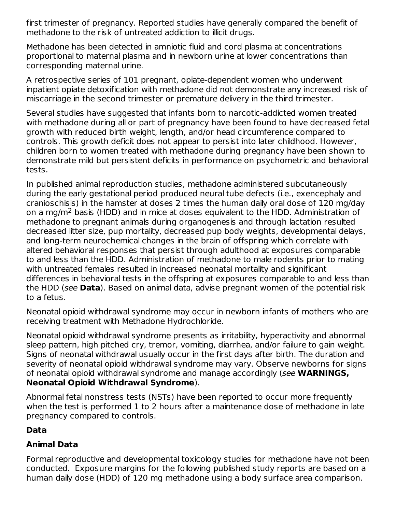first trimester of pregnancy. Reported studies have generally compared the benefit of methadone to the risk of untreated addiction to illicit drugs.

Methadone has been detected in amniotic fluid and cord plasma at concentrations proportional to maternal plasma and in newborn urine at lower concentrations than corresponding maternal urine.

A retrospective series of 101 pregnant, opiate-dependent women who underwent inpatient opiate detoxification with methadone did not demonstrate any increased risk of miscarriage in the second trimester or premature delivery in the third trimester.

Several studies have suggested that infants born to narcotic-addicted women treated with methadone during all or part of pregnancy have been found to have decreased fetal growth with reduced birth weight, length, and/or head circumference compared to controls. This growth deficit does not appear to persist into later childhood. However, children born to women treated with methadone during pregnancy have been shown to demonstrate mild but persistent deficits in performance on psychometric and behavioral tests.

In published animal reproduction studies, methadone administered subcutaneously during the early gestational period produced neural tube defects (i.e., exencephaly and cranioschisis) in the hamster at doses 2 times the human daily oral dose of 120 mg/day on a mg/m<sup>2</sup> basis (HDD) and in mice at doses equivalent to the HDD. Administration of methadone to pregnant animals during organogenesis and through lactation resulted decreased litter size, pup mortality, decreased pup body weights, developmental delays, and long-term neurochemical changes in the brain of offspring which correlate with altered behavioral responses that persist through adulthood at exposures comparable to and less than the HDD. Administration of methadone to male rodents prior to mating with untreated females resulted in increased neonatal mortality and significant differences in behavioral tests in the offspring at exposures comparable to and less than the HDD (see **Data**). Based on animal data, advise pregnant women of the potential risk to a fetus.

Neonatal opioid withdrawal syndrome may occur in newborn infants of mothers who are receiving treatment with Methadone Hydrochloride.

Neonatal opioid withdrawal syndrome presents as irritability, hyperactivity and abnormal sleep pattern, high pitched cry, tremor, vomiting, diarrhea, and/or failure to gain weight. Signs of neonatal withdrawal usually occur in the first days after birth. The duration and severity of neonatal opioid withdrawal syndrome may vary. Observe newborns for signs of neonatal opioid withdrawal syndrome and manage accordingly (see **WARNINGS, Neonatal Opioid Withdrawal Syndrome**).

Abnormal fetal nonstress tests (NSTs) have been reported to occur more frequently when the test is performed 1 to 2 hours after a maintenance dose of methadone in late pregnancy compared to controls.

# **Data**

# **Animal Data**

Formal reproductive and developmental toxicology studies for methadone have not been conducted. Exposure margins for the following published study reports are based on a human daily dose (HDD) of 120 mg methadone using a body surface area comparison.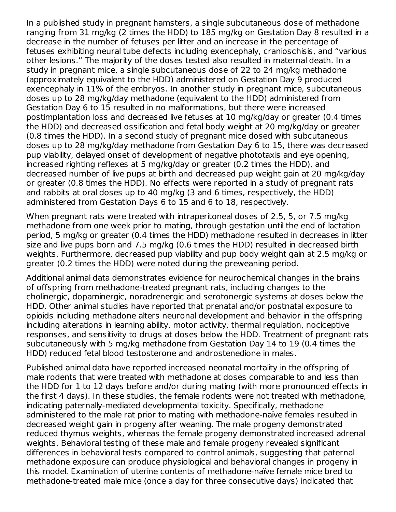In a published study in pregnant hamsters, a single subcutaneous dose of methadone ranging from 31 mg/kg (2 times the HDD) to 185 mg/kg on Gestation Day 8 resulted in a decrease in the number of fetuses per litter and an increase in the percentage of fetuses exhibiting neural tube defects including exencephaly, cranioschisis, and "various other lesions." The majority of the doses tested also resulted in maternal death. In a study in pregnant mice, a single subcutaneous dose of 22 to 24 mg/kg methadone (approximately equivalent to the HDD) administered on Gestation Day 9 produced exencephaly in 11% of the embryos. In another study in pregnant mice, subcutaneous doses up to 28 mg/kg/day methadone (equivalent to the HDD) administered from Gestation Day 6 to 15 resulted in no malformations, but there were increased postimplantation loss and decreased live fetuses at 10 mg/kg/day or greater (0.4 times the HDD) and decreased ossification and fetal body weight at 20 mg/kg/day or greater (0.8 times the HDD). In a second study of pregnant mice dosed with subcutaneous doses up to 28 mg/kg/day methadone from Gestation Day 6 to 15, there was decreased pup viability, delayed onset of development of negative phototaxis and eye opening, increased righting reflexes at 5 mg/kg/day or greater (0.2 times the HDD), and decreased number of live pups at birth and decreased pup weight gain at 20 mg/kg/day or greater (0.8 times the HDD). No effects were reported in a study of pregnant rats and rabbits at oral doses up to 40 mg/kg (3 and 6 times, respectively, the HDD) administered from Gestation Days 6 to 15 and 6 to 18, respectively.

When pregnant rats were treated with intraperitoneal doses of 2.5, 5, or 7.5 mg/kg methadone from one week prior to mating, through gestation until the end of lactation period, 5 mg/kg or greater (0.4 times the HDD) methadone resulted in decreases in litter size and live pups born and 7.5 mg/kg (0.6 times the HDD) resulted in decreased birth weights. Furthermore, decreased pup viability and pup body weight gain at 2.5 mg/kg or greater (0.2 times the HDD) were noted during the preweaning period.

Additional animal data demonstrates evidence for neurochemical changes in the brains of offspring from methadone-treated pregnant rats, including changes to the cholinergic, dopaminergic, noradrenergic and serotonergic systems at doses below the HDD. Other animal studies have reported that prenatal and/or postnatal exposure to opioids including methadone alters neuronal development and behavior in the offspring including alterations in learning ability, motor activity, thermal regulation, nociceptive responses, and sensitivity to drugs at doses below the HDD. Treatment of pregnant rats subcutaneously with 5 mg/kg methadone from Gestation Day 14 to 19 (0.4 times the HDD) reduced fetal blood testosterone and androstenedione in males.

Published animal data have reported increased neonatal mortality in the offspring of male rodents that were treated with methadone at doses comparable to and less than the HDD for 1 to 12 days before and/or during mating (with more pronounced effects in the first 4 days). In these studies, the female rodents were not treated with methadone, indicating paternally-mediated developmental toxicity. Specifically, methadone administered to the male rat prior to mating with methadone-naïve females resulted in decreased weight gain in progeny after weaning. The male progeny demonstrated reduced thymus weights, whereas the female progeny demonstrated increased adrenal weights. Behavioral testing of these male and female progeny revealed significant differences in behavioral tests compared to control animals, suggesting that paternal methadone exposure can produce physiological and behavioral changes in progeny in this model. Examination of uterine contents of methadone-naïve female mice bred to methadone-treated male mice (once a day for three consecutive days) indicated that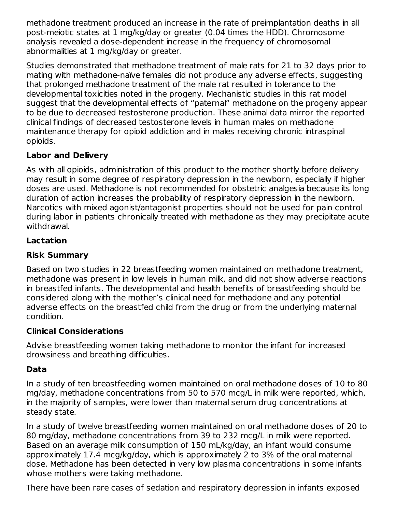methadone treatment produced an increase in the rate of preimplantation deaths in all post-meiotic states at 1 mg/kg/day or greater (0.04 times the HDD). Chromosome analysis revealed a dose-dependent increase in the frequency of chromosomal abnormalities at 1 mg/kg/day or greater.

Studies demonstrated that methadone treatment of male rats for 21 to 32 days prior to mating with methadone-naïve females did not produce any adverse effects, suggesting that prolonged methadone treatment of the male rat resulted in tolerance to the developmental toxicities noted in the progeny. Mechanistic studies in this rat model suggest that the developmental effects of "paternal" methadone on the progeny appear to be due to decreased testosterone production. These animal data mirror the reported clinical findings of decreased testosterone levels in human males on methadone maintenance therapy for opioid addiction and in males receiving chronic intraspinal opioids.

## **Labor and Delivery**

As with all opioids, administration of this product to the mother shortly before delivery may result in some degree of respiratory depression in the newborn, especially if higher doses are used. Methadone is not recommended for obstetric analgesia because its long duration of action increases the probability of respiratory depression in the newborn. Narcotics with mixed agonist/antagonist properties should not be used for pain control during labor in patients chronically treated with methadone as they may precipitate acute withdrawal.

## **Lactation**

## **Risk Summary**

Based on two studies in 22 breastfeeding women maintained on methadone treatment, methadone was present in low levels in human milk, and did not show adverse reactions in breastfed infants. The developmental and health benefits of breastfeeding should be considered along with the mother's clinical need for methadone and any potential adverse effects on the breastfed child from the drug or from the underlying maternal condition.

## **Clinical Considerations**

Advise breastfeeding women taking methadone to monitor the infant for increased drowsiness and breathing difficulties.

## **Data**

In a study of ten breastfeeding women maintained on oral methadone doses of 10 to 80 mg/day, methadone concentrations from 50 to 570 mcg/L in milk were reported, which, in the majority of samples, were lower than maternal serum drug concentrations at steady state.

In a study of twelve breastfeeding women maintained on oral methadone doses of 20 to 80 mg/day, methadone concentrations from 39 to 232 mcg/L in milk were reported. Based on an average milk consumption of 150 mL/kg/day, an infant would consume approximately 17.4 mcg/kg/day, which is approximately 2 to 3% of the oral maternal dose. Methadone has been detected in very low plasma concentrations in some infants whose mothers were taking methadone.

There have been rare cases of sedation and respiratory depression in infants exposed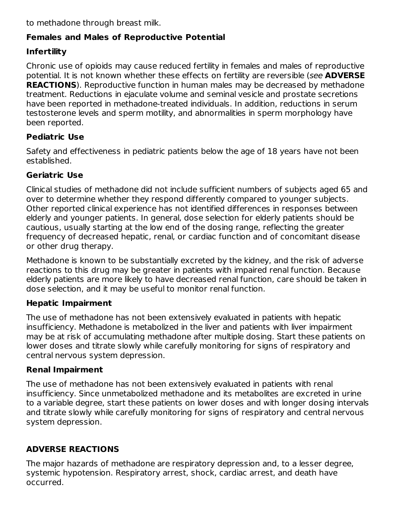to methadone through breast milk.

## **Females and Males of Reproductive Potential**

## **Infertility**

Chronic use of opioids may cause reduced fertility in females and males of reproductive potential. It is not known whether these effects on fertility are reversible (see **ADVERSE REACTIONS**). Reproductive function in human males may be decreased by methadone treatment. Reductions in ejaculate volume and seminal vesicle and prostate secretions have been reported in methadone-treated individuals. In addition, reductions in serum testosterone levels and sperm motility, and abnormalities in sperm morphology have been reported.

## **Pediatric Use**

Safety and effectiveness in pediatric patients below the age of 18 years have not been established.

## **Geriatric Use**

Clinical studies of methadone did not include sufficient numbers of subjects aged 65 and over to determine whether they respond differently compared to younger subjects. Other reported clinical experience has not identified differences in responses between elderly and younger patients. In general, dose selection for elderly patients should be cautious, usually starting at the low end of the dosing range, reflecting the greater frequency of decreased hepatic, renal, or cardiac function and of concomitant disease or other drug therapy.

Methadone is known to be substantially excreted by the kidney, and the risk of adverse reactions to this drug may be greater in patients with impaired renal function. Because elderly patients are more likely to have decreased renal function, care should be taken in dose selection, and it may be useful to monitor renal function.

## **Hepatic Impairment**

The use of methadone has not been extensively evaluated in patients with hepatic insufficiency. Methadone is metabolized in the liver and patients with liver impairment may be at risk of accumulating methadone after multiple dosing. Start these patients on lower doses and titrate slowly while carefully monitoring for signs of respiratory and central nervous system depression.

## **Renal Impairment**

The use of methadone has not been extensively evaluated in patients with renal insufficiency. Since unmetabolized methadone and its metabolites are excreted in urine to a variable degree, start these patients on lower doses and with longer dosing intervals and titrate slowly while carefully monitoring for signs of respiratory and central nervous system depression.

# **ADVERSE REACTIONS**

The major hazards of methadone are respiratory depression and, to a lesser degree, systemic hypotension. Respiratory arrest, shock, cardiac arrest, and death have occurred.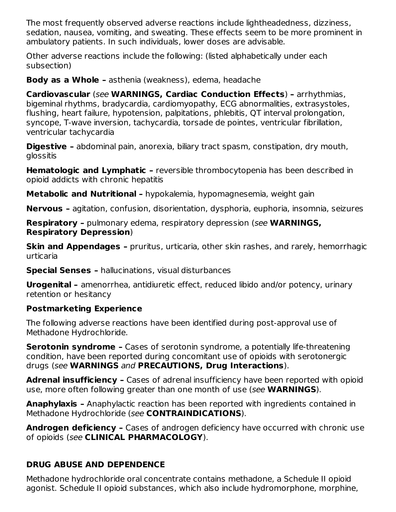The most frequently observed adverse reactions include lightheadedness, dizziness, sedation, nausea, vomiting, and sweating. These effects seem to be more prominent in ambulatory patients. In such individuals, lower doses are advisable.

Other adverse reactions include the following: (listed alphabetically under each subsection)

**Body as a Whole –** asthenia (weakness), edema, headache

**Cardiovascular** (see **WARNINGS, Cardiac Conduction Effects**) **–** arrhythmias, bigeminal rhythms, bradycardia, cardiomyopathy, ECG abnormalities, extrasystoles, flushing, heart failure, hypotension, palpitations, phlebitis, QT interval prolongation, syncope, T-wave inversion, tachycardia, torsade de pointes, ventricular fibrillation, ventricular tachycardia

**Digestive –** abdominal pain, anorexia, biliary tract spasm, constipation, dry mouth, glossitis

**Hematologic and Lymphatic –** reversible thrombocytopenia has been described in opioid addicts with chronic hepatitis

**Metabolic and Nutritional –** hypokalemia, hypomagnesemia, weight gain

**Nervous –** agitation, confusion, disorientation, dysphoria, euphoria, insomnia, seizures

**Respiratory –** pulmonary edema, respiratory depression (see **WARNINGS, Respiratory Depression**)

**Skin and Appendages –** pruritus, urticaria, other skin rashes, and rarely, hemorrhagic urticaria

**Special Senses –** hallucinations, visual disturbances

**Urogenital –** amenorrhea, antidiuretic effect, reduced libido and/or potency, urinary retention or hesitancy

## **Postmarketing Experience**

The following adverse reactions have been identified during post-approval use of Methadone Hydrochloride.

**Serotonin syndrome –** Cases of serotonin syndrome, a potentially life-threatening condition, have been reported during concomitant use of opioids with serotonergic drugs (see **WARNINGS** and **PRECAUTIONS, Drug Interactions**).

**Adrenal insufficiency –** Cases of adrenal insufficiency have been reported with opioid use, more often following greater than one month of use (see **WARNINGS**).

**Anaphylaxis –** Anaphylactic reaction has been reported with ingredients contained in Methadone Hydrochloride (see **CONTRAINDICATIONS**).

**Androgen deficiency –** Cases of androgen deficiency have occurred with chronic use of opioids (see **CLINICAL PHARMACOLOGY**).

# **DRUG ABUSE AND DEPENDENCE**

Methadone hydrochloride oral concentrate contains methadone, a Schedule II opioid agonist. Schedule II opioid substances, which also include hydromorphone, morphine,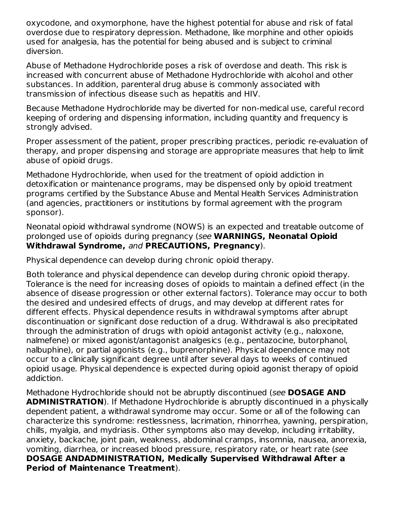oxycodone, and oxymorphone, have the highest potential for abuse and risk of fatal overdose due to respiratory depression. Methadone, like morphine and other opioids used for analgesia, has the potential for being abused and is subject to criminal diversion.

Abuse of Methadone Hydrochloride poses a risk of overdose and death. This risk is increased with concurrent abuse of Methadone Hydrochloride with alcohol and other substances. In addition, parenteral drug abuse is commonly associated with transmission of infectious disease such as hepatitis and HIV.

Because Methadone Hydrochloride may be diverted for non-medical use, careful record keeping of ordering and dispensing information, including quantity and frequency is strongly advised.

Proper assessment of the patient, proper prescribing practices, periodic re-evaluation of therapy, and proper dispensing and storage are appropriate measures that help to limit abuse of opioid drugs.

Methadone Hydrochloride, when used for the treatment of opioid addiction in detoxification or maintenance programs, may be dispensed only by opioid treatment programs certified by the Substance Abuse and Mental Health Services Administration (and agencies, practitioners or institutions by formal agreement with the program sponsor).

Neonatal opioid withdrawal syndrome (NOWS) is an expected and treatable outcome of prolonged use of opioids during pregnancy (see **WARNINGS, Neonatal Opioid Withdrawal Syndrome,** and **PRECAUTIONS, Pregnancy**).

Physical dependence can develop during chronic opioid therapy.

Both tolerance and physical dependence can develop during chronic opioid therapy. Tolerance is the need for increasing doses of opioids to maintain a defined effect (in the absence of disease progression or other external factors). Tolerance may occur to both the desired and undesired effects of drugs, and may develop at different rates for different effects. Physical dependence results in withdrawal symptoms after abrupt discontinuation or significant dose reduction of a drug. Withdrawal is also precipitated through the administration of drugs with opioid antagonist activity (e.g., naloxone, nalmefene) or mixed agonist/antagonist analgesics (e.g., pentazocine, butorphanol, nalbuphine), or partial agonists (e.g., buprenorphine). Physical dependence may not occur to a clinically significant degree until after several days to weeks of continued opioid usage. Physical dependence is expected during opioid agonist therapy of opioid addiction.

Methadone Hydrochloride should not be abruptly discontinued (see **DOSAGE AND ADMINISTRATION**). If Methadone Hydrochloride is abruptly discontinued in a physically dependent patient, a withdrawal syndrome may occur. Some or all of the following can characterize this syndrome: restlessness, lacrimation, rhinorrhea, yawning, perspiration, chills, myalgia, and mydriasis. Other symptoms also may develop, including irritability, anxiety, backache, joint pain, weakness, abdominal cramps, insomnia, nausea, anorexia, vomiting, diarrhea, or increased blood pressure, respiratory rate, or heart rate (see **DOSAGE ANDADMINISTRATION, Medically Supervised Withdrawal After a Period of Maintenance Treatment**).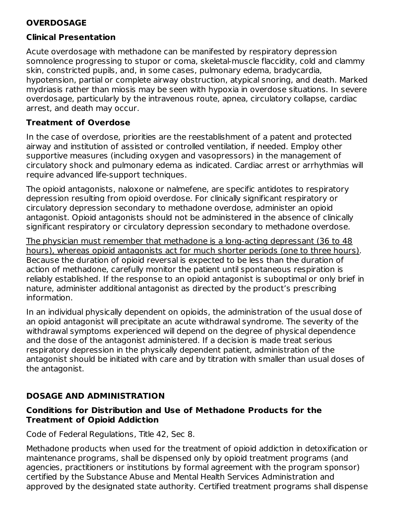## **OVERDOSAGE**

#### **Clinical Presentation**

Acute overdosage with methadone can be manifested by respiratory depression somnolence progressing to stupor or coma, skeletal-muscle flaccidity, cold and clammy skin, constricted pupils, and, in some cases, pulmonary edema, bradycardia, hypotension, partial or complete airway obstruction, atypical snoring, and death. Marked mydriasis rather than miosis may be seen with hypoxia in overdose situations. In severe overdosage, particularly by the intravenous route, apnea, circulatory collapse, cardiac arrest, and death may occur.

#### **Treatment of Overdose**

In the case of overdose, priorities are the reestablishment of a patent and protected airway and institution of assisted or controlled ventilation, if needed. Employ other supportive measures (including oxygen and vasopressors) in the management of circulatory shock and pulmonary edema as indicated. Cardiac arrest or arrhythmias will require advanced life-support techniques.

The opioid antagonists, naloxone or nalmefene, are specific antidotes to respiratory depression resulting from opioid overdose. For clinically significant respiratory or circulatory depression secondary to methadone overdose, administer an opioid antagonist. Opioid antagonists should not be administered in the absence of clinically significant respiratory or circulatory depression secondary to methadone overdose.

The physician must remember that methadone is a long-acting depressant (36 to 48 hours), whereas opioid antagonists act for much shorter periods (one to three hours). Because the duration of opioid reversal is expected to be less than the duration of action of methadone, carefully monitor the patient until spontaneous respiration is reliably established. If the response to an opioid antagonist is suboptimal or only brief in nature, administer additional antagonist as directed by the product's prescribing information.

In an individual physically dependent on opioids, the administration of the usual dose of an opioid antagonist will precipitate an acute withdrawal syndrome. The severity of the withdrawal symptoms experienced will depend on the degree of physical dependence and the dose of the antagonist administered. If a decision is made treat serious respiratory depression in the physically dependent patient, administration of the antagonist should be initiated with care and by titration with smaller than usual doses of the antagonist.

## **DOSAGE AND ADMINISTRATION**

#### **Conditions for Distribution and Use of Methadone Products for the Treatment of Opioid Addiction**

Code of Federal Regulations, Title 42, Sec 8.

Methadone products when used for the treatment of opioid addiction in detoxification or maintenance programs, shall be dispensed only by opioid treatment programs (and agencies, practitioners or institutions by formal agreement with the program sponsor) certified by the Substance Abuse and Mental Health Services Administration and approved by the designated state authority. Certified treatment programs shall dispense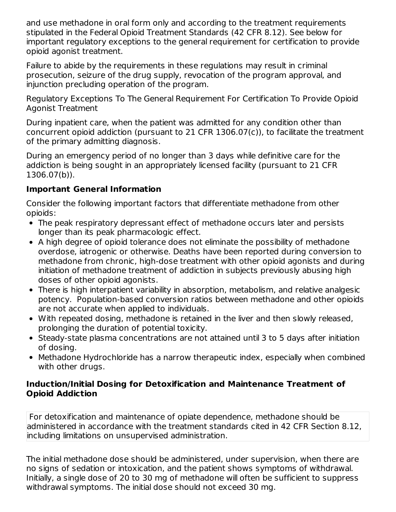and use methadone in oral form only and according to the treatment requirements stipulated in the Federal Opioid Treatment Standards (42 CFR 8.12). See below for important regulatory exceptions to the general requirement for certification to provide opioid agonist treatment.

Failure to abide by the requirements in these regulations may result in criminal prosecution, seizure of the drug supply, revocation of the program approval, and injunction precluding operation of the program.

Regulatory Exceptions To The General Requirement For Certification To Provide Opioid Agonist Treatment

During inpatient care, when the patient was admitted for any condition other than concurrent opioid addiction (pursuant to 21 CFR 1306.07(c)), to facilitate the treatment of the primary admitting diagnosis.

During an emergency period of no longer than 3 days while definitive care for the addiction is being sought in an appropriately licensed facility (pursuant to 21 CFR 1306.07(b)).

## **Important General Information**

Consider the following important factors that differentiate methadone from other opioids:

- The peak respiratory depressant effect of methadone occurs later and persists longer than its peak pharmacologic effect.
- A high degree of opioid tolerance does not eliminate the possibility of methadone overdose, iatrogenic or otherwise. Deaths have been reported during conversion to methadone from chronic, high-dose treatment with other opioid agonists and during initiation of methadone treatment of addiction in subjects previously abusing high doses of other opioid agonists.
- There is high interpatient variability in absorption, metabolism, and relative analgesic potency. Population-based conversion ratios between methadone and other opioids are not accurate when applied to individuals.
- With repeated dosing, methadone is retained in the liver and then slowly released, prolonging the duration of potential toxicity.
- Steady-state plasma concentrations are not attained until 3 to 5 days after initiation of dosing.
- Methadone Hydrochloride has a narrow therapeutic index, especially when combined with other drugs.

#### **Induction/Initial Dosing for Detoxification and Maintenance Treatment of Opioid Addiction**

For detoxification and maintenance of opiate dependence, methadone should be administered in accordance with the treatment standards cited in 42 CFR Section 8.12, including limitations on unsupervised administration.

The initial methadone dose should be administered, under supervision, when there are no signs of sedation or intoxication, and the patient shows symptoms of withdrawal. Initially, a single dose of 20 to 30 mg of methadone will often be sufficient to suppress withdrawal symptoms. The initial dose should not exceed 30 mg.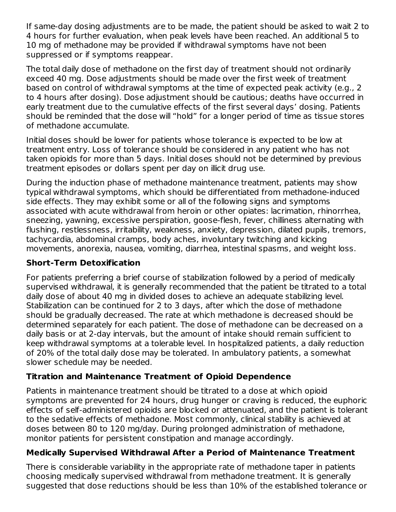If same-day dosing adjustments are to be made, the patient should be asked to wait 2 to 4 hours for further evaluation, when peak levels have been reached. An additional 5 to 10 mg of methadone may be provided if withdrawal symptoms have not been suppressed or if symptoms reappear.

The total daily dose of methadone on the first day of treatment should not ordinarily exceed 40 mg. Dose adjustments should be made over the first week of treatment based on control of withdrawal symptoms at the time of expected peak activity (e.g., 2 to 4 hours after dosing). Dose adjustment should be cautious; deaths have occurred in early treatment due to the cumulative effects of the first several days' dosing. Patients should be reminded that the dose will "hold" for a longer period of time as tissue stores of methadone accumulate.

Initial doses should be lower for patients whose tolerance is expected to be low at treatment entry. Loss of tolerance should be considered in any patient who has not taken opioids for more than 5 days. Initial doses should not be determined by previous treatment episodes or dollars spent per day on illicit drug use.

During the induction phase of methadone maintenance treatment, patients may show typical withdrawal symptoms, which should be differentiated from methadone-induced side effects. They may exhibit some or all of the following signs and symptoms associated with acute withdrawal from heroin or other opiates: lacrimation, rhinorrhea, sneezing, yawning, excessive perspiration, goose-flesh, fever, chilliness alternating with flushing, restlessness, irritability, weakness, anxiety, depression, dilated pupils, tremors, tachycardia, abdominal cramps, body aches, involuntary twitching and kicking movements, anorexia, nausea, vomiting, diarrhea, intestinal spasms, and weight loss.

#### **Short-Term Detoxification**

For patients preferring a brief course of stabilization followed by a period of medically supervised withdrawal, it is generally recommended that the patient be titrated to a total daily dose of about 40 mg in divided doses to achieve an adequate stabilizing level. Stabilization can be continued for 2 to 3 days, after which the dose of methadone should be gradually decreased. The rate at which methadone is decreased should be determined separately for each patient. The dose of methadone can be decreased on a daily basis or at 2-day intervals, but the amount of intake should remain sufficient to keep withdrawal symptoms at a tolerable level. In hospitalized patients, a daily reduction of 20% of the total daily dose may be tolerated. In ambulatory patients, a somewhat slower schedule may be needed.

## **Titration and Maintenance Treatment of Opioid Dependence**

Patients in maintenance treatment should be titrated to a dose at which opioid symptoms are prevented for 24 hours, drug hunger or craving is reduced, the euphoric effects of self-administered opioids are blocked or attenuated, and the patient is tolerant to the sedative effects of methadone. Most commonly, clinical stability is achieved at doses between 80 to 120 mg/day. During prolonged administration of methadone, monitor patients for persistent constipation and manage accordingly.

## **Medically Supervised Withdrawal After a Period of Maintenance Treatment**

There is considerable variability in the appropriate rate of methadone taper in patients choosing medically supervised withdrawal from methadone treatment. It is generally suggested that dose reductions should be less than 10% of the established tolerance or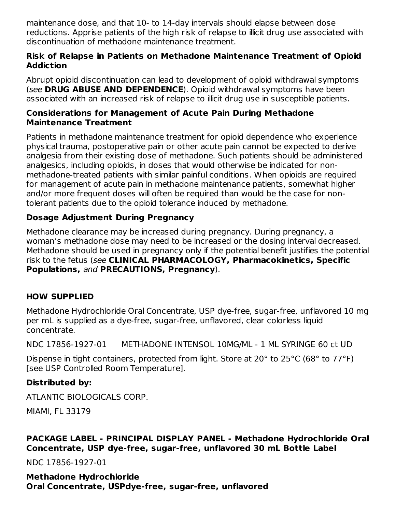maintenance dose, and that 10- to 14-day intervals should elapse between dose reductions. Apprise patients of the high risk of relapse to illicit drug use associated with discontinuation of methadone maintenance treatment.

#### **Risk of Relapse in Patients on Methadone Maintenance Treatment of Opioid Addiction**

Abrupt opioid discontinuation can lead to development of opioid withdrawal symptoms (see **DRUG ABUSE AND DEPENDENCE**). Opioid withdrawal symptoms have been associated with an increased risk of relapse to illicit drug use in susceptible patients.

#### **Considerations for Management of Acute Pain During Methadone Maintenance Treatment**

Patients in methadone maintenance treatment for opioid dependence who experience physical trauma, postoperative pain or other acute pain cannot be expected to derive analgesia from their existing dose of methadone. Such patients should be administered analgesics, including opioids, in doses that would otherwise be indicated for nonmethadone-treated patients with similar painful conditions. When opioids are required for management of acute pain in methadone maintenance patients, somewhat higher and/or more frequent doses will often be required than would be the case for nontolerant patients due to the opioid tolerance induced by methadone.

## **Dosage Adjustment During Pregnancy**

Methadone clearance may be increased during pregnancy. During pregnancy, a woman's methadone dose may need to be increased or the dosing interval decreased. Methadone should be used in pregnancy only if the potential benefit justifies the potential risk to the fetus (see **CLINICAL PHARMACOLOGY, Pharmacokinetics, Specific Populations,** and **PRECAUTIONS, Pregnancy**).

## **HOW SUPPLIED**

Methadone Hydrochloride Oral Concentrate, USP dye-free, sugar-free, unflavored 10 mg per mL is supplied as a dye-free, sugar-free, unflavored, clear colorless liquid concentrate.

NDC 17856-1927-01 METHADONE INTENSOL 10MG/ML - 1 ML SYRINGE 60 ct UD

Dispense in tight containers, protected from light. Store at 20° to 25°C (68° to 77°F) [see USP Controlled Room Temperature].

## **Distributed by:**

ATLANTIC BIOLOGICALS CORP.

MIAMI, FL 33179

#### **PACKAGE LABEL - PRINCIPAL DISPLAY PANEL - Methadone Hydrochloride Oral Concentrate, USP dye-free, sugar-free, unflavored 30 mL Bottle Label**

NDC 17856-1927-01

**Methadone Hydrochloride Oral Concentrate, USPdye-free, sugar-free, unflavored**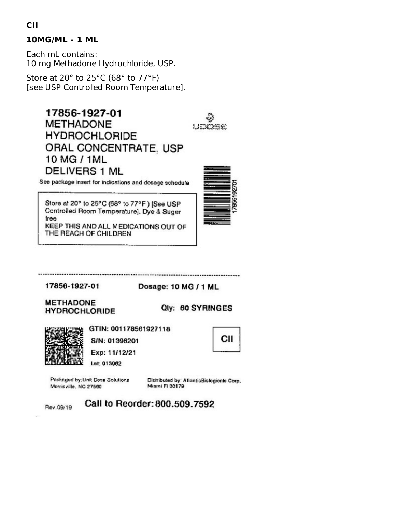## **10MG/ML - 1 ML**

Each mL contains: 10 mg Methadone Hydrochloride, USP.

Store at 20° to 25°C (68° to 77°F) [see USP Controlled Room Temperature].

> 17856-1927-01 **METHADONE HYDROCHLORIDE** ORAL CONCENTRATE, USP 10 MG / 1ML **DELIVERS 1 ML**

See package insert for indications and dosage schedule

Store at 20° to 25°C (68° to 77°F) [See USP Controlled Room Temperature]. Dye & Suger free KEEP THIS AND ALL MEDICATIONS OUT OF

THE REACH OF CHILDREN

17856-1927-01

Dosage: 10 MG / 1 ML

**METHADONE HYDROCHLORIDE** 

Qty: 60 SYRINGES



Rev.09/19

GTIN: 001178561927118

S/N: 01396201 Exp: 11/12/21

Lot: 013962

Packaged by: Unit Dose Solutions Morrisville, NC 27560

Distributed by: AtlanticBiologicals Corp. Miami FI 33179

Call to Reorder: 800.509.7592



СII

LIDOGE

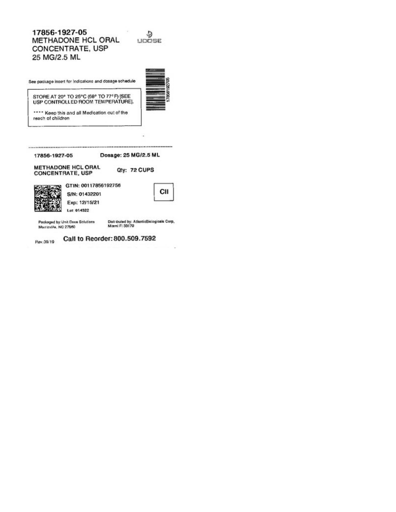#### 17856-1927-05  $\frac{5}{2}$ METHADONE HCL ORAL CONCENTRATE, USP 25 MG/2.5 ML



Call to Reorder: 800.509.7592 Rev.09/19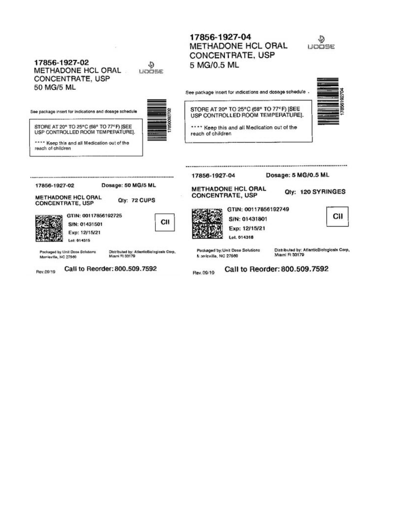METHADONE HCL ORAL OOSE **CONCENTRATE, USP** 17856-1927-02 5 MG/0.5 ML ٩ METHADONE HCL ORAL upoe **CONCENTRATE, USP** 50 MG/5 ML See package insert for indications and dosage schedule . STORE AT 20° TO 25°C (68° TO 77°F) [SEE See package insert for indications and dosage schedule USP CONTROLLED ROOM TEMPERATURE]. STORE AT 20° TO 25°C (68° TO 77°F) [SEE \*\*\*\* Keep this and all Medication out of the USP CONTROLLED ROOM TEMPERATURE). reach of children \*\*\*\* Keep this and all Medication out of the reach of children Dosage: 5 MG/0.5 ML 17856-1927-04 Dosage: 50 MG/5 ML 17856-1927-02 METHADONE HCL ORAL Qty: 120 SYRINGES **CONCENTRATE, USP METHADONE HCL ORAL** Qty: 72 CUPS **CONCENTRATE, USP** GTIN: 00117856192749 GTIN: 00117856192725 СII S/N: 01431801 СII S/N: 01431501 Exp: 12/15/21 Exp: 12/15/21 Lot. 014318 Lot: 014315 Distributed by: AtlanticBiologicals Corp, Distributed by: AtlanticBiologicals Corp,<br>Miami FI 33179 Packaged by: Unit Dose Solutions Packaged by Unit Dose Solutions Miami Fl 33179 N prrisville, NC 27560 Morrieville, NC 27560 Call to Reorder: 800.509.7592 Call to Reorder: 800.509.7592

Rev.09/19

Rev.09/19

17856-1927-04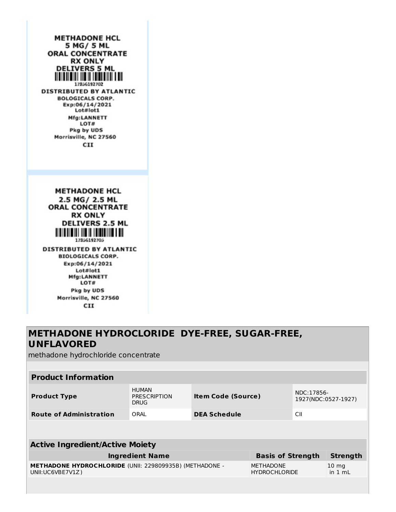**METHADONE HCL** 5 MG/ 5 ML **ORAL CONCENTRATE RX ONLY DELIVERS 5 ML** <u> A TATALAH AND AND AN TANG AND AN</u> 17856192702 **DISTRIBUTED BY ATLANTIC BOLOGICALS CORP.** Exp:06/14/2021 Lot#lot1 Mfg:LANNETT LOT# Pkg by UDS Morrisville, NC 27560 **CII METHADONE HCL** 2.5 MG/ 2.5 ML **ORAL CONCENTRATE RX ONLY DELIVERS 2.5 ML THE REAL PROPERTY AND A** 17856192705 **DISTRIBUTED BY ATLANTIC BIOLOGICALS CORP.** Exp:06/14/2021 Lot#lot1 **Mfg:LANNETT** LOT# Pkg by UDS Morrisville, NC 27560

CII

## **METHADONE HYDROCLORIDE DYE-FREE, SUGAR-FREE, UNFLAVORED**

methadone hydrochloride concentrate

| <b>Product Information</b>                                                         |                                                    |                           |                                          |                                   |                              |
|------------------------------------------------------------------------------------|----------------------------------------------------|---------------------------|------------------------------------------|-----------------------------------|------------------------------|
| <b>Product Type</b>                                                                | <b>HUMAN</b><br><b>PRESCRIPTION</b><br><b>DRUG</b> | <b>Item Code (Source)</b> |                                          | NDC:17856-<br>1927(NDC:0527-1927) |                              |
| <b>Route of Administration</b>                                                     | ORAL                                               | <b>DEA Schedule</b>       |                                          | CII                               |                              |
|                                                                                    |                                                    |                           |                                          |                                   |                              |
| <b>Active Ingredient/Active Moiety</b>                                             |                                                    |                           |                                          |                                   |                              |
| <b>Ingredient Name</b>                                                             |                                                    |                           |                                          | <b>Basis of Strength</b>          | <b>Strength</b>              |
| <b>METHADONE HYDROCHLORIDE (UNII: 229809935B) (METHADONE -</b><br>UNII:UC6VBE7V1Z) |                                                    |                           | <b>METHADONE</b><br><b>HYDROCHLORIDE</b> |                                   | $10 \text{ mg}$<br>in $1 mL$ |
|                                                                                    |                                                    |                           |                                          |                                   |                              |